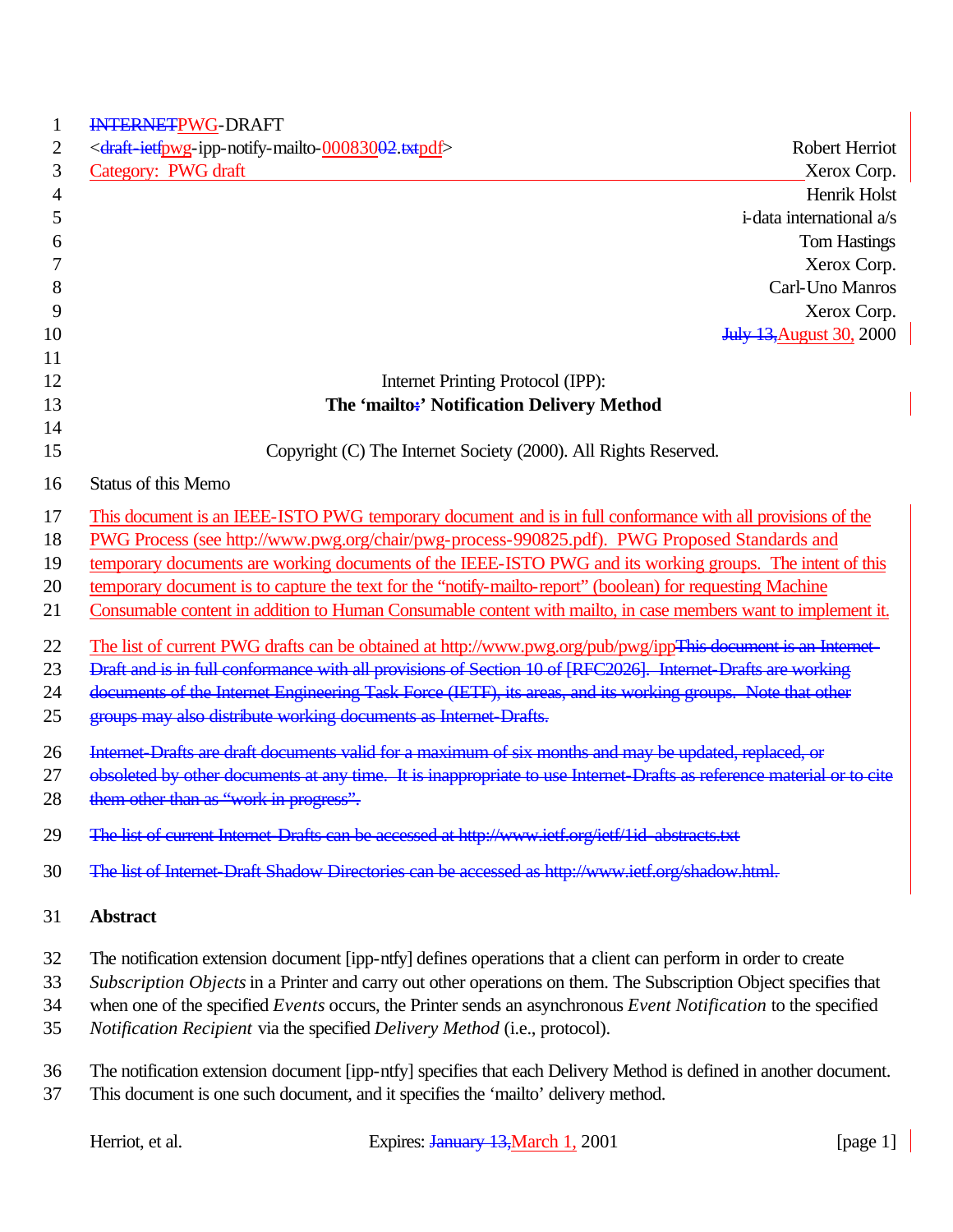| 1              | INTERNETPWG-DRAFT                                                                                                      |  |
|----------------|------------------------------------------------------------------------------------------------------------------------|--|
| 2              | <draft-ietfpwg-ipp-notify-mailto-00083002.txtpdf><br/>Robert Herriot</draft-ietfpwg-ipp-notify-mailto-00083002.txtpdf> |  |
| 3              | Category: PWG draft<br>Xerox Corp.                                                                                     |  |
| $\overline{4}$ | Henrik Holst                                                                                                           |  |
| 5              | i-data international a/s                                                                                               |  |
| 6              | <b>Tom Hastings</b>                                                                                                    |  |
| 7              | Xerox Corp.                                                                                                            |  |
| 8              | Carl-Uno Manros                                                                                                        |  |
| 9              | Xerox Corp.                                                                                                            |  |
| 10             | <b>July 13, August 30, 2000</b>                                                                                        |  |
| 11             |                                                                                                                        |  |
| 12             | Internet Printing Protocol (IPP):                                                                                      |  |
| 13<br>14       | The 'mailto:' Notification Delivery Method                                                                             |  |
| 15             | Copyright (C) The Internet Society (2000). All Rights Reserved.                                                        |  |
| 16             | <b>Status of this Memo</b>                                                                                             |  |
| 17             | This document is an IEEE-ISTO PWG temporary document and is in full conformance with all provisions of the             |  |
| 18             | PWG Process (see http://www.pwg.org/chair/pwg-process-990825.pdf). PWG Proposed Standards and                          |  |
| 19             | temporary documents are working documents of the IEEE-ISTO PWG and its working groups. The intent of this              |  |
| 20             | temporary document is to capture the text for the "notify-mailto-report" (boolean) for requesting Machine              |  |
| 21             | Consumable content in addition to Human Consumable content with mailto, in case members want to implement it.          |  |
| 22             | The list of current PWG drafts can be obtained at http://www.pwg.org/pub/pwg/ippThis-document is an Internet-          |  |
| 23             | Draft and is in full conformance with all provisions of Section 10 of [RFC2026]. Internet Drafts are working           |  |
| 24             | documents of the Internet Engineering Task Force (IETF), its areas, and its working groups. Note that other            |  |
| 25             | groups may also distribute working documents as Internet Drafts.                                                       |  |
| 26             | Internet Drafts are draft documents valid for a maximum of six months and may be updated, replaced, or                 |  |
| 27             | obsoleted by other documents at any time. It is inappropriate to use Internet-Drafts as reference material or to cite  |  |
| 28             | them other than as "work in progress".                                                                                 |  |
| 29             | The list of current Internet Drafts can be accessed at http://www.ietf.org/ietf/1id-abstracts.txt                      |  |
| 30             | The list of Internet-Draft Shadow Directories can be accessed as http://www.ietf.org/shadow.html.                      |  |
| 31             | <b>Abstract</b>                                                                                                        |  |
| 32             | The notification extension document [ipp-ntfy] defines operations that a client can perform in order to create         |  |
| 33             | Subscription Objects in a Printer and carry out other operations on them. The Subscription Object specifies that       |  |
| 34             | when one of the specified Events occurs, the Printer sends an asynchronous Event Notification to the specified         |  |
| 35             | Notification Recipient via the specified Delivery Method (i.e., protocol).                                             |  |
| 36             | The notification extension document [ipp-ntfy] specifies that each Delivery Method is defined in another document.     |  |
| 37             | This document is one such document, and it specifies the 'mailto' delivery method.                                     |  |
|                |                                                                                                                        |  |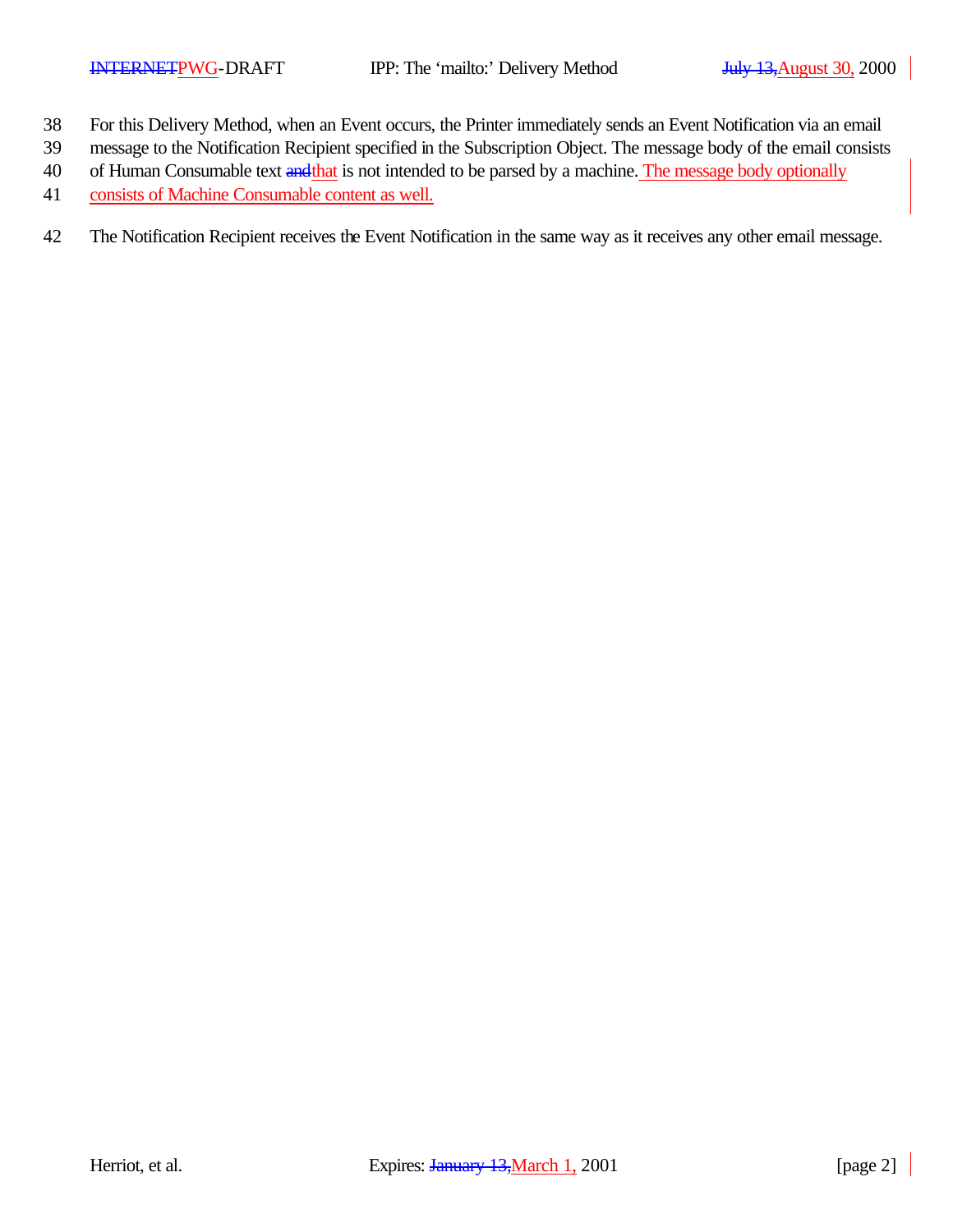- 38 For this Delivery Method, when an Event occurs, the Printer immediately sends an Event Notification via an email
- 39 message to the Notification Recipient specified in the Subscription Object. The message body of the email consists
- 40 of Human Consumable text and that is not intended to be parsed by a machine. The message body optionally
- 41 consists of Machine Consumable content as well.
- 42 The Notification Recipient receives the Event Notification in the same way as it receives any other email message.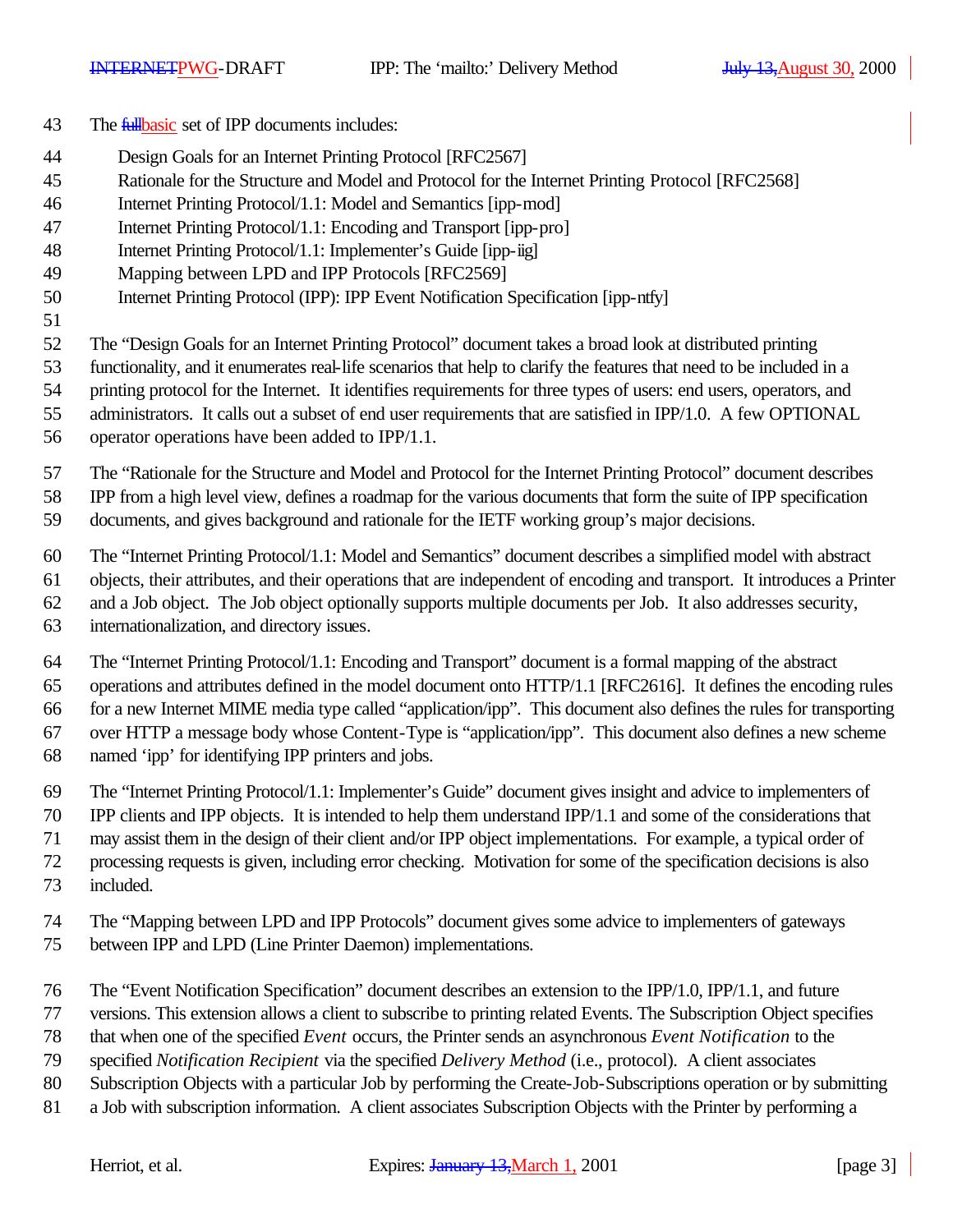- 43 The *fullbasic* set of IPP documents includes:
- Design Goals for an Internet Printing Protocol [RFC2567]
- Rationale for the Structure and Model and Protocol for the Internet Printing Protocol [RFC2568]
- Internet Printing Protocol/1.1: Model and Semantics [ipp-mod]
- Internet Printing Protocol/1.1: Encoding and Transport [ipp-pro]
- Internet Printing Protocol/1.1: Implementer's Guide [ipp-iig]
- Mapping between LPD and IPP Protocols [RFC2569]
- Internet Printing Protocol (IPP): IPP Event Notification Specification [ipp-ntfy]
- 

The "Design Goals for an Internet Printing Protocol" document takes a broad look at distributed printing

functionality, and it enumerates real-life scenarios that help to clarify the features that need to be included in a

printing protocol for the Internet. It identifies requirements for three types of users: end users, operators, and

- administrators. It calls out a subset of end user requirements that are satisfied in IPP/1.0. A few OPTIONAL
- operator operations have been added to IPP/1.1.

The "Rationale for the Structure and Model and Protocol for the Internet Printing Protocol" document describes

IPP from a high level view, defines a roadmap for the various documents that form the suite of IPP specification

documents, and gives background and rationale for the IETF working group's major decisions.

The "Internet Printing Protocol/1.1: Model and Semantics" document describes a simplified model with abstract

objects, their attributes, and their operations that are independent of encoding and transport. It introduces a Printer

and a Job object. The Job object optionally supports multiple documents per Job. It also addresses security,

internationalization, and directory issues.

The "Internet Printing Protocol/1.1: Encoding and Transport" document is a formal mapping of the abstract

operations and attributes defined in the model document onto HTTP/1.1 [RFC2616]. It defines the encoding rules

 for a new Internet MIME media type called "application/ipp". This document also defines the rules for transporting over HTTP a message body whose Content-Type is "application/ipp". This document also defines a new scheme

- named 'ipp' for identifying IPP printers and jobs.
- The "Internet Printing Protocol/1.1: Implementer's Guide" document gives insight and advice to implementers of

IPP clients and IPP objects. It is intended to help them understand IPP/1.1 and some of the considerations that

may assist them in the design of their client and/or IPP object implementations. For example, a typical order of

processing requests is given, including error checking. Motivation for some of the specification decisions is also

- included.
- The "Mapping between LPD and IPP Protocols" document gives some advice to implementers of gateways
- between IPP and LPD (Line Printer Daemon) implementations.
- The "Event Notification Specification" document describes an extension to the IPP/1.0, IPP/1.1, and future
- versions. This extension allows a client to subscribe to printing related Events. The Subscription Object specifies
- that when one of the specified *Event* occurs, the Printer sends an asynchronous *Event Notification* to the
- specified *Notification Recipient* via the specified *Delivery Method* (i.e., protocol). A client associates
- Subscription Objects with a particular Job by performing the Create-Job-Subscriptions operation or by submitting
- a Job with subscription information. A client associates Subscription Objects with the Printer by performing a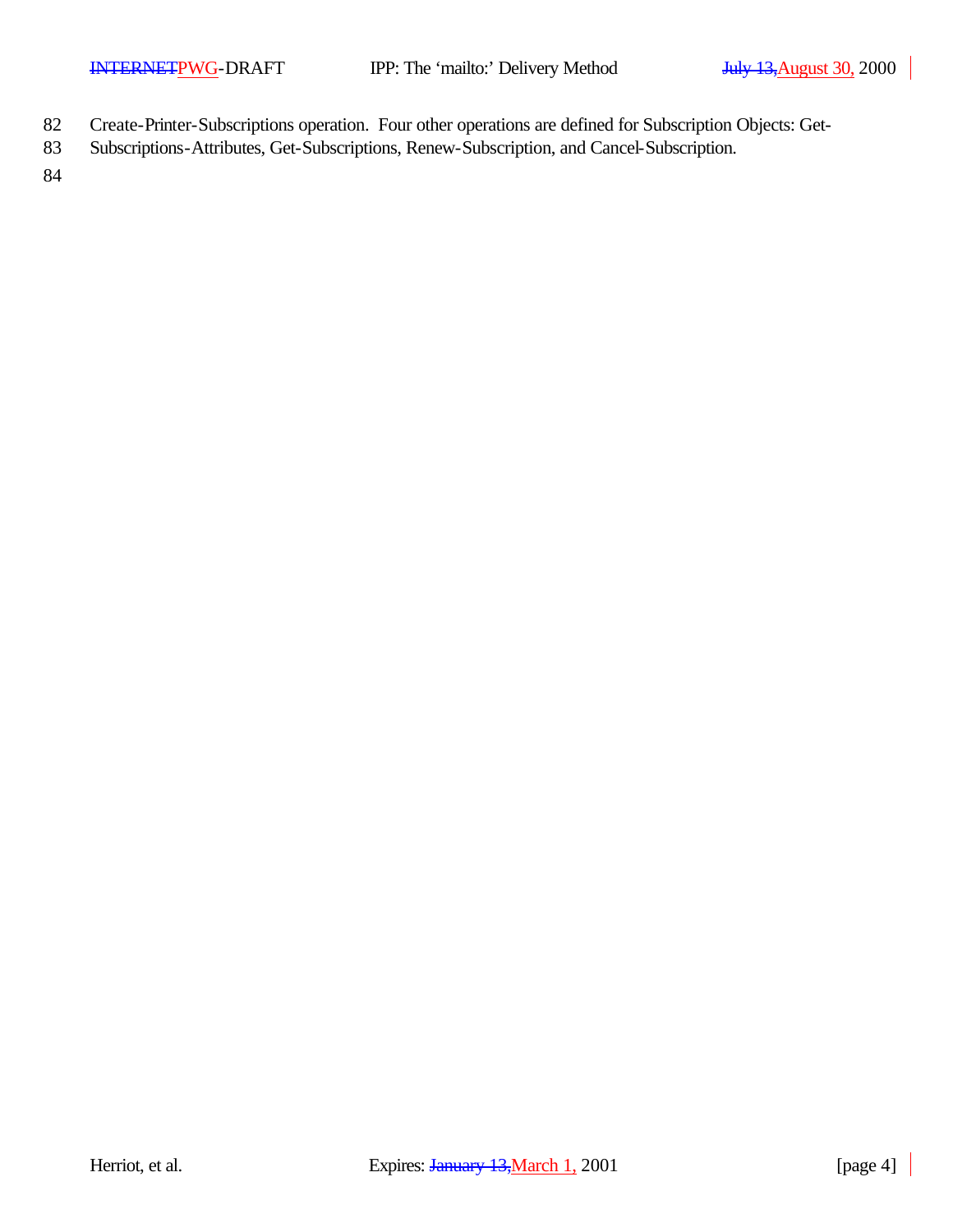- 82 Create-Printer-Subscriptions operation. Four other operations are defined for Subscription Objects: Get-
- 83 Subscriptions-Attributes, Get-Subscriptions, Renew-Subscription, and Cancel-Subscription.

84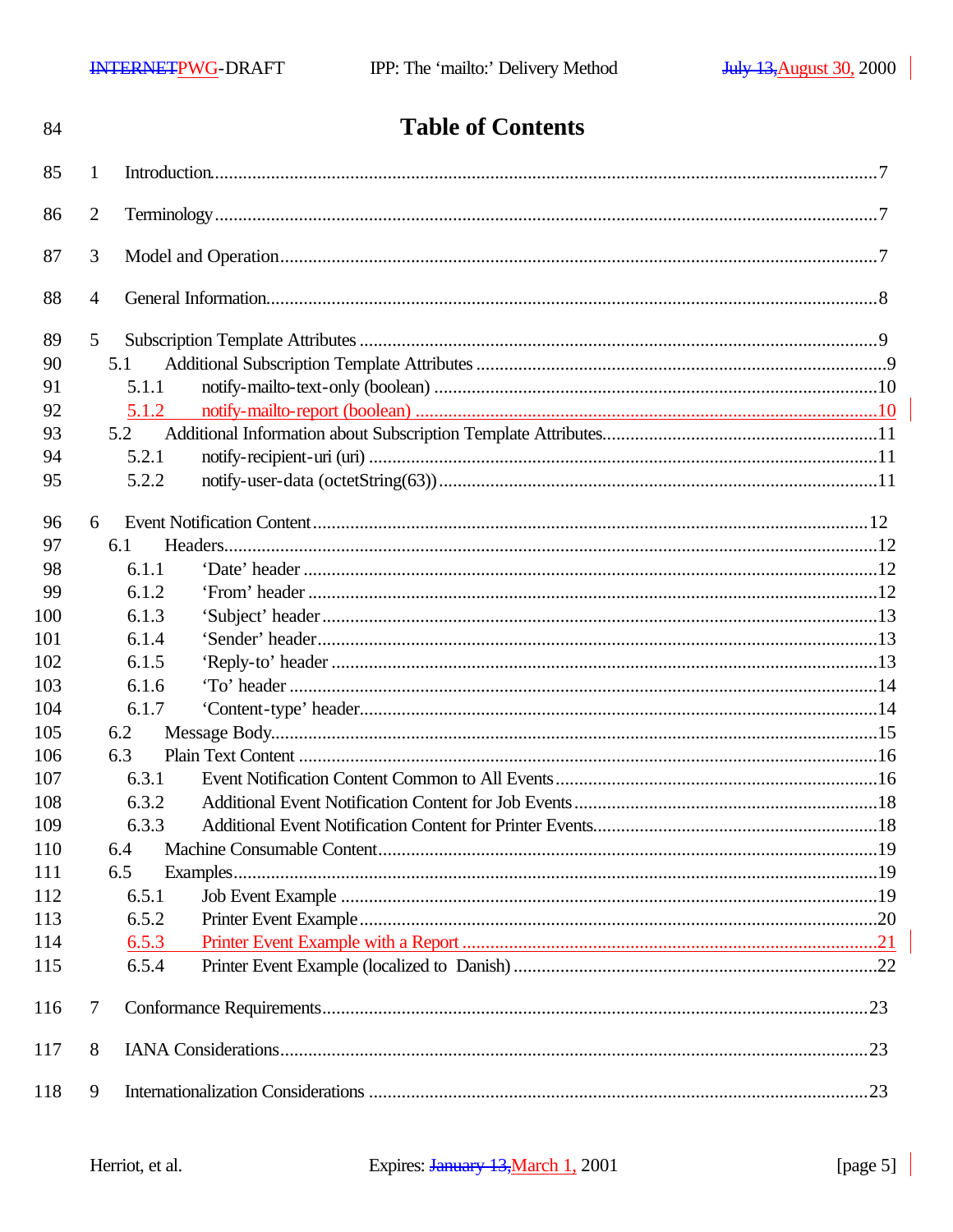| 84  |                 | <b>Table of Contents</b> |  |
|-----|-----------------|--------------------------|--|
| 85  | 1               |                          |  |
| 86  | $\overline{2}$  |                          |  |
| 87  | 3               |                          |  |
| 88  | 4               |                          |  |
| 89  | $5\overline{)}$ |                          |  |
| 90  | 5.1             |                          |  |
| 91  | 5.1.1           |                          |  |
| 92  | 5.1.2           |                          |  |
| 93  | 5.2             |                          |  |
| 94  | 5.2.1           |                          |  |
| 95  | 5.2.2           |                          |  |
| 96  | 6               |                          |  |
| 97  | 6.1             |                          |  |
| 98  | 6.1.1           |                          |  |
| 99  | 6.1.2           |                          |  |
| 100 | 6.1.3           |                          |  |
| 101 | 6.1.4           |                          |  |
| 102 | 6.1.5           |                          |  |
| 103 | 6.1.6           |                          |  |
| 104 | 6.1.7           |                          |  |
| 105 | 6.2             |                          |  |
| 106 | 6.3             |                          |  |
| 107 | 6.3.1           |                          |  |
| 108 | 6.3.2           |                          |  |
| 109 | 6.3.3           |                          |  |
| 110 | 6.4             |                          |  |
| 111 | 6.5             |                          |  |
| 112 | 6.5.1           |                          |  |
| 113 | 6.5.2           |                          |  |
| 114 | 6.5.3           |                          |  |
| 115 | 6.5.4           |                          |  |
| 116 | 7               |                          |  |
| 117 | 8               |                          |  |
| 118 | 9               |                          |  |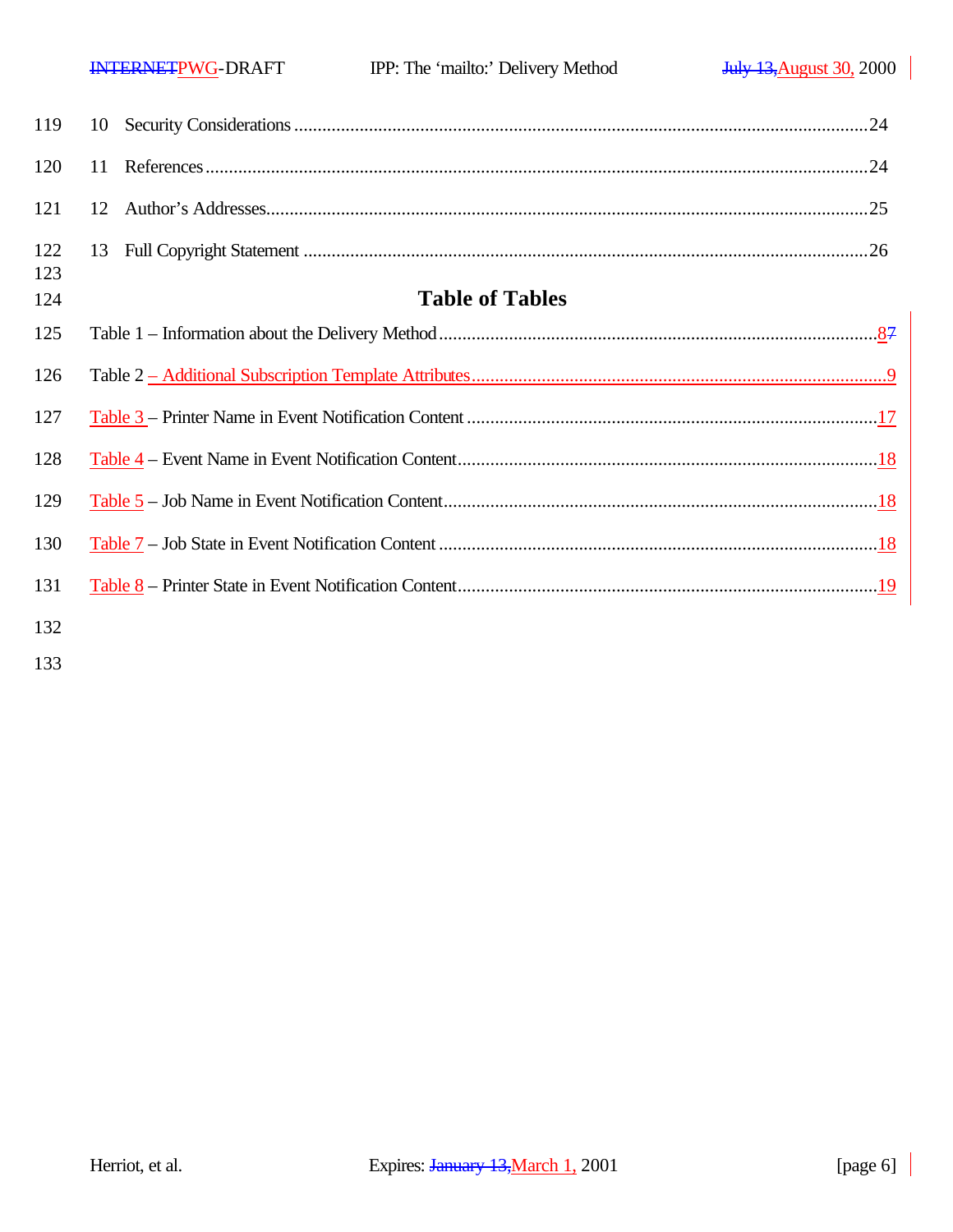| 123<br>124 | <b>Table of Tables</b> |  |
|------------|------------------------|--|
| 125        |                        |  |
|            |                        |  |
| 126        |                        |  |

| 122 |  |
|-----|--|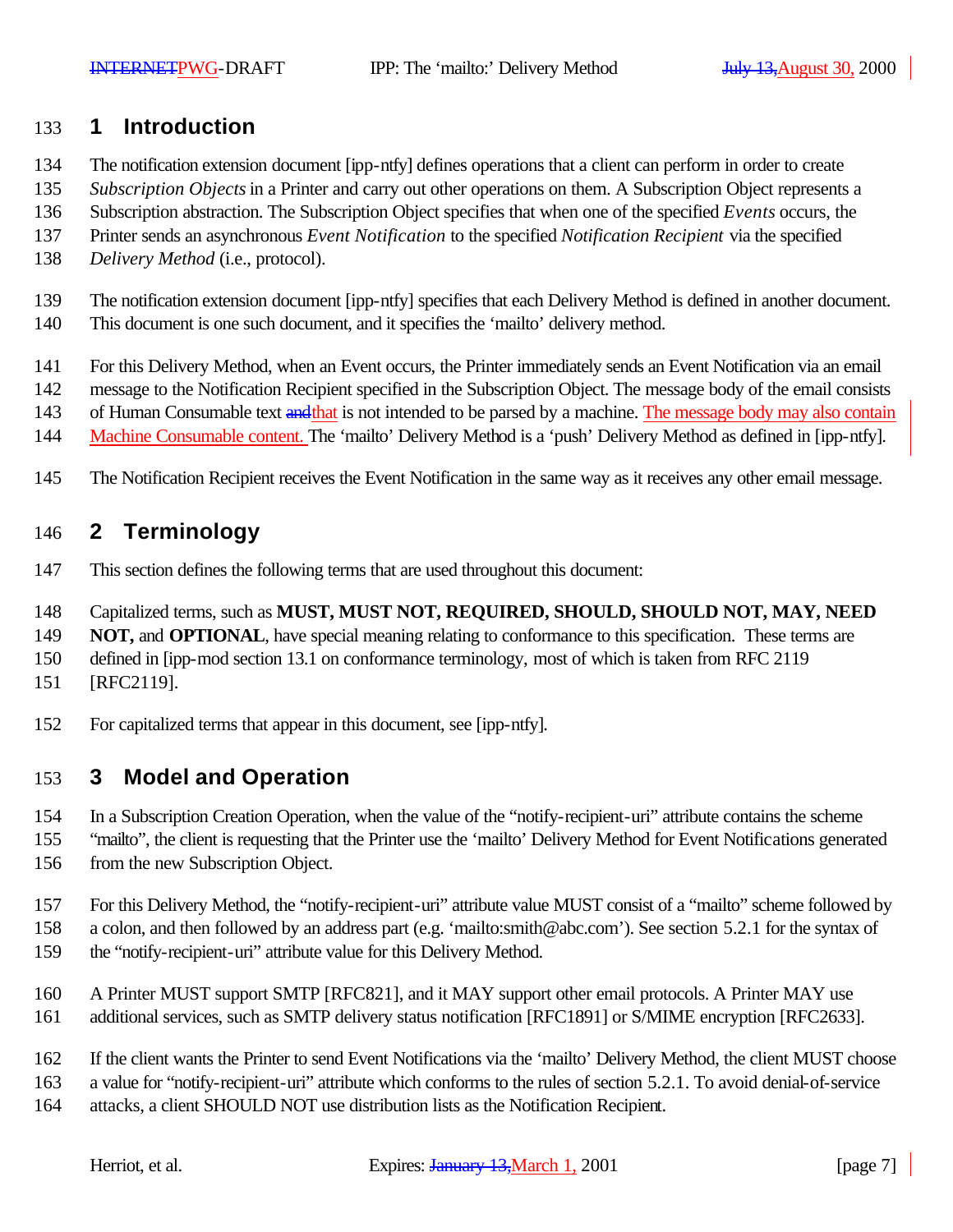### **1 Introduction**

- The notification extension document [ipp-ntfy] defines operations that a client can perform in order to create
- *Subscription Objects* in a Printer and carry out other operations on them. A Subscription Object represents a
- Subscription abstraction. The Subscription Object specifies that when one of the specified *Events* occurs, the
- Printer sends an asynchronous *Event Notification* to the specified *Notification Recipient* via the specified
- *Delivery Method* (i.e., protocol).
- The notification extension document [ipp-ntfy] specifies that each Delivery Method is defined in another document.
- This document is one such document, and it specifies the 'mailto' delivery method.
- For this Delivery Method, when an Event occurs, the Printer immediately sends an Event Notification via an email
- message to the Notification Recipient specified in the Subscription Object. The message body of the email consists
- 143 of Human Consumable text and that is not intended to be parsed by a machine. The message body may also contain
- Machine Consumable content. The 'mailto' Delivery Method is a 'push' Delivery Method as defined in [ipp-ntfy].
- The Notification Recipient receives the Event Notification in the same way as it receives any other email message.

## **2 Terminology**

- This section defines the following terms that are used throughout this document:
- Capitalized terms, such as **MUST, MUST NOT, REQUIRED, SHOULD, SHOULD NOT, MAY, NEED**
- **NOT, and OPTIONAL**, have special meaning relating to conformance to this specification. These terms are
- defined in [ipp-mod section 13.1 on conformance terminology, most of which is taken from RFC 2119
- [RFC2119].
- For capitalized terms that appear in this document, see [ipp-ntfy].

# **3 Model and Operation**

- In a Subscription Creation Operation, when the value of the "notify-recipient-uri" attribute contains the scheme
- "mailto", the client is requesting that the Printer use the 'mailto' Delivery Method for Event Notifications generated from the new Subscription Object.
- For this Delivery Method, the "notify-recipient-uri" attribute value MUST consist of a "mailto" scheme followed by
- a colon, and then followed by an address part (e.g. 'mailto:smith@abc.com'). See section 5.2.1 for the syntax of
- the "notify-recipient-uri" attribute value for this Delivery Method.
- A Printer MUST support SMTP [RFC821], and it MAY support other email protocols. A Printer MAY use
- additional services, such as SMTP delivery status notification [RFC1891] or S/MIME encryption [RFC2633].
- If the client wants the Printer to send Event Notifications via the 'mailto' Delivery Method, the client MUST choose
- a value for "notify-recipient-uri" attribute which conforms to the rules of section 5.2.1. To avoid denial-of-service
- attacks, a client SHOULD NOT use distribution lists as the Notification Recipient.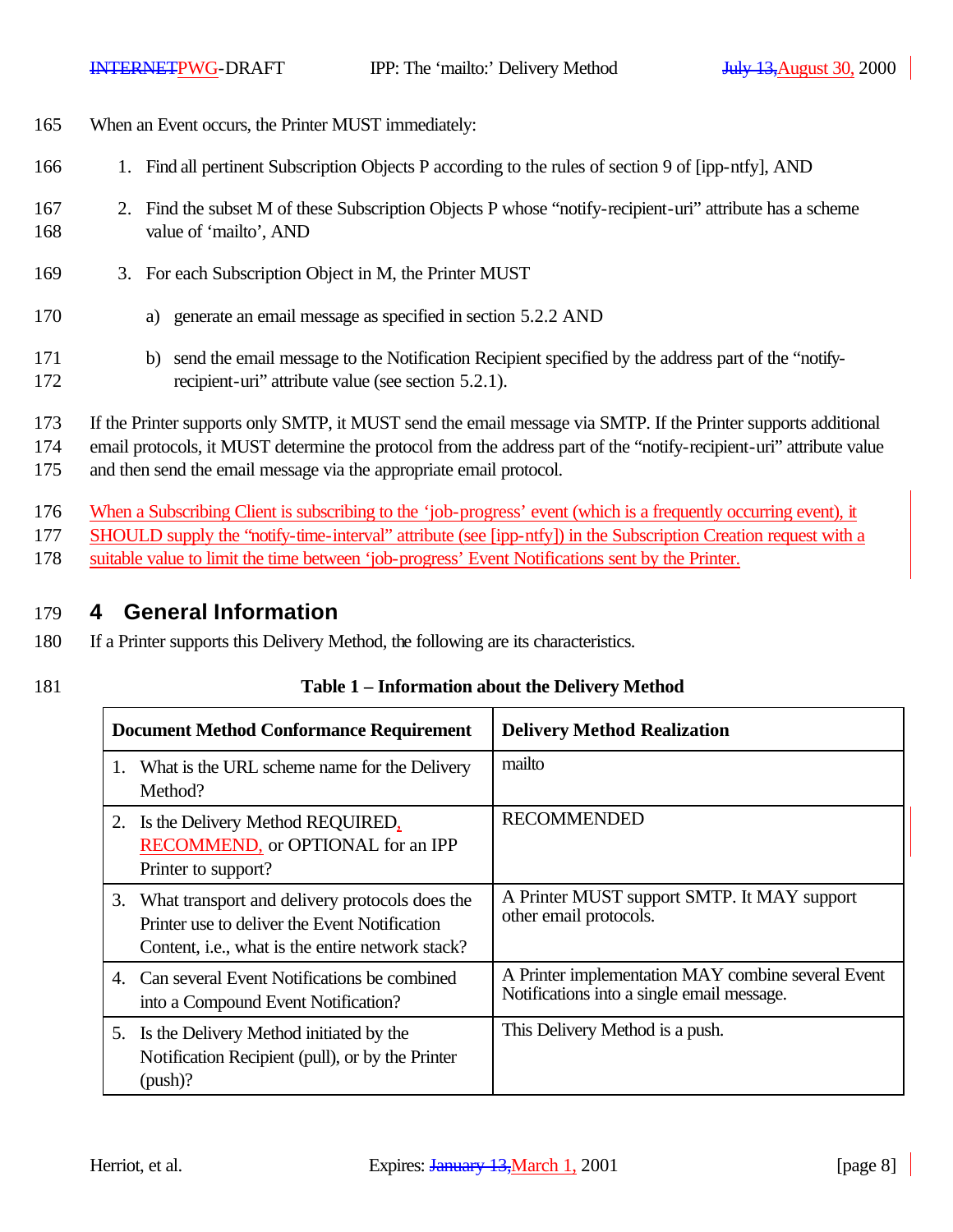- 165 When an Event occurs, the Printer MUST immediately:
- 166 1. Find all pertinent Subscription Objects P according to the rules of section 9 of [ipp-ntfy], AND
- 167 2. Find the subset M of these Subscription Objects P whose "notify-recipient-uri" attribute has a scheme 168 value of 'mailto', AND
- 169 3. For each Subscription Object in M, the Printer MUST
- 170 a) generate an email message as specified in section 5.2.2 AND
- 171 b) send the email message to the Notification Recipient specified by the address part of the "notify-172 recipient-uri" attribute value (see section 5.2.1).
- 173 If the Printer supports only SMTP, it MUST send the email message via SMTP. If the Printer supports additional

174 email protocols, it MUST determine the protocol from the address part of the "notify-recipient-uri" attribute value

175 and then send the email message via the appropriate email protocol.

- 176 When a Subscribing Client is subscribing to the 'job-progress' event (which is a frequently occurring event), it
- 177 SHOULD supply the "notify-time-interval" attribute (see [ipp-ntfy]) in the Subscription Creation request with a
- 178 suitable value to limit the time between 'job-progress' Event Notifications sent by the Printer.

### 179 **4 General Information**

- 180 If a Printer supports this Delivery Method, the following are its characteristics.
- 

### 181 **Table 1 – Information about the Delivery Method**

| <b>Document Method Conformance Requirement</b>                                                                                                                 | <b>Delivery Method Realization</b>                                                               |
|----------------------------------------------------------------------------------------------------------------------------------------------------------------|--------------------------------------------------------------------------------------------------|
| What is the URL scheme name for the Delivery<br>1.<br>Method?                                                                                                  | mailto                                                                                           |
| 2. Is the Delivery Method REQUIRED,<br><b>RECOMMEND</b> , or OPTIONAL for an IPP<br>Printer to support?                                                        | <b>RECOMMENDED</b>                                                                               |
| 3. What transport and delivery protocols does the<br>Printer use to deliver the Event Notification<br>Content, <i>i.e.</i> , what is the entire network stack? | A Printer MUST support SMTP. It MAY support<br>other email protocols.                            |
| 4. Can several Event Notifications be combined<br>into a Compound Event Notification?                                                                          | A Printer implementation MAY combine several Event<br>Notifications into a single email message. |
| 5. Is the Delivery Method initiated by the<br>Notification Recipient (pull), or by the Printer<br>$(push)$ ?                                                   | This Delivery Method is a push.                                                                  |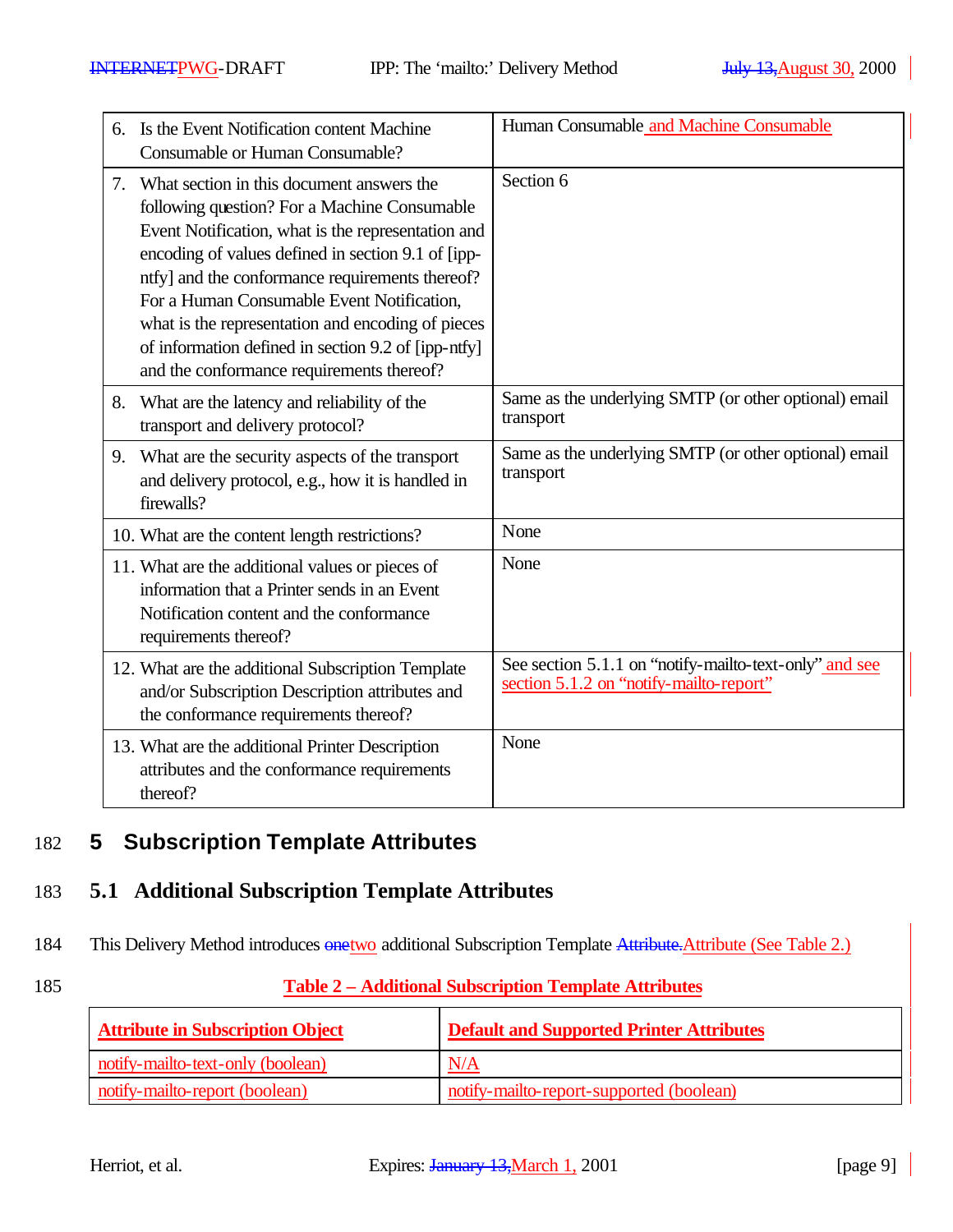| 6. | Is the Event Notification content Machine<br>Consumable or Human Consumable?                                                                                                                                                                                                                                                                                                                                                                                    | Human Consumable and Machine Consumable                                                           |
|----|-----------------------------------------------------------------------------------------------------------------------------------------------------------------------------------------------------------------------------------------------------------------------------------------------------------------------------------------------------------------------------------------------------------------------------------------------------------------|---------------------------------------------------------------------------------------------------|
| 7. | What section in this document answers the<br>following question? For a Machine Consumable<br>Event Notification, what is the representation and<br>encoding of values defined in section 9.1 of [ipp-<br>ntfy] and the conformance requirements thereof?<br>For a Human Consumable Event Notification,<br>what is the representation and encoding of pieces<br>of information defined in section 9.2 of [ipp-ntfy]<br>and the conformance requirements thereof? | Section 6                                                                                         |
| 8. | What are the latency and reliability of the<br>transport and delivery protocol?                                                                                                                                                                                                                                                                                                                                                                                 | Same as the underlying SMTP (or other optional) email<br>transport                                |
| 9. | What are the security aspects of the transport<br>and delivery protocol, e.g., how it is handled in<br>firewalls?                                                                                                                                                                                                                                                                                                                                               | Same as the underlying SMTP (or other optional) email<br>transport                                |
|    | 10. What are the content length restrictions?                                                                                                                                                                                                                                                                                                                                                                                                                   | None                                                                                              |
|    | 11. What are the additional values or pieces of<br>information that a Printer sends in an Event<br>Notification content and the conformance<br>requirements thereof?                                                                                                                                                                                                                                                                                            | None                                                                                              |
|    | 12. What are the additional Subscription Template<br>and/or Subscription Description attributes and<br>the conformance requirements thereof?                                                                                                                                                                                                                                                                                                                    | See section 5.1.1 on "notify-mailto-text-only" and see<br>section 5.1.2 on "notify-mailto-report" |
|    | 13. What are the additional Printer Description<br>attributes and the conformance requirements<br>thereof?                                                                                                                                                                                                                                                                                                                                                      | None                                                                                              |

# 182 **5 Subscription Template Attributes**

## 183 **5.1 Additional Subscription Template Attributes**

184 This Delivery Method introduces  $\frac{\text{one two}}{\text{additional Subscript completion}}$  Template Attribute. Attribute (See Table 2.)

### 185 **Table 2 – Additional Subscription Template Attributes**

| <b>Attribute in Subscription Object</b> | <b>Default and Supported Printer Attributes</b> |
|-----------------------------------------|-------------------------------------------------|
| notify-mailto-text-only (boolean)       | N/A                                             |
| notify-mailto-report (boolean)          | notify-mailto-report-supported (boolean)        |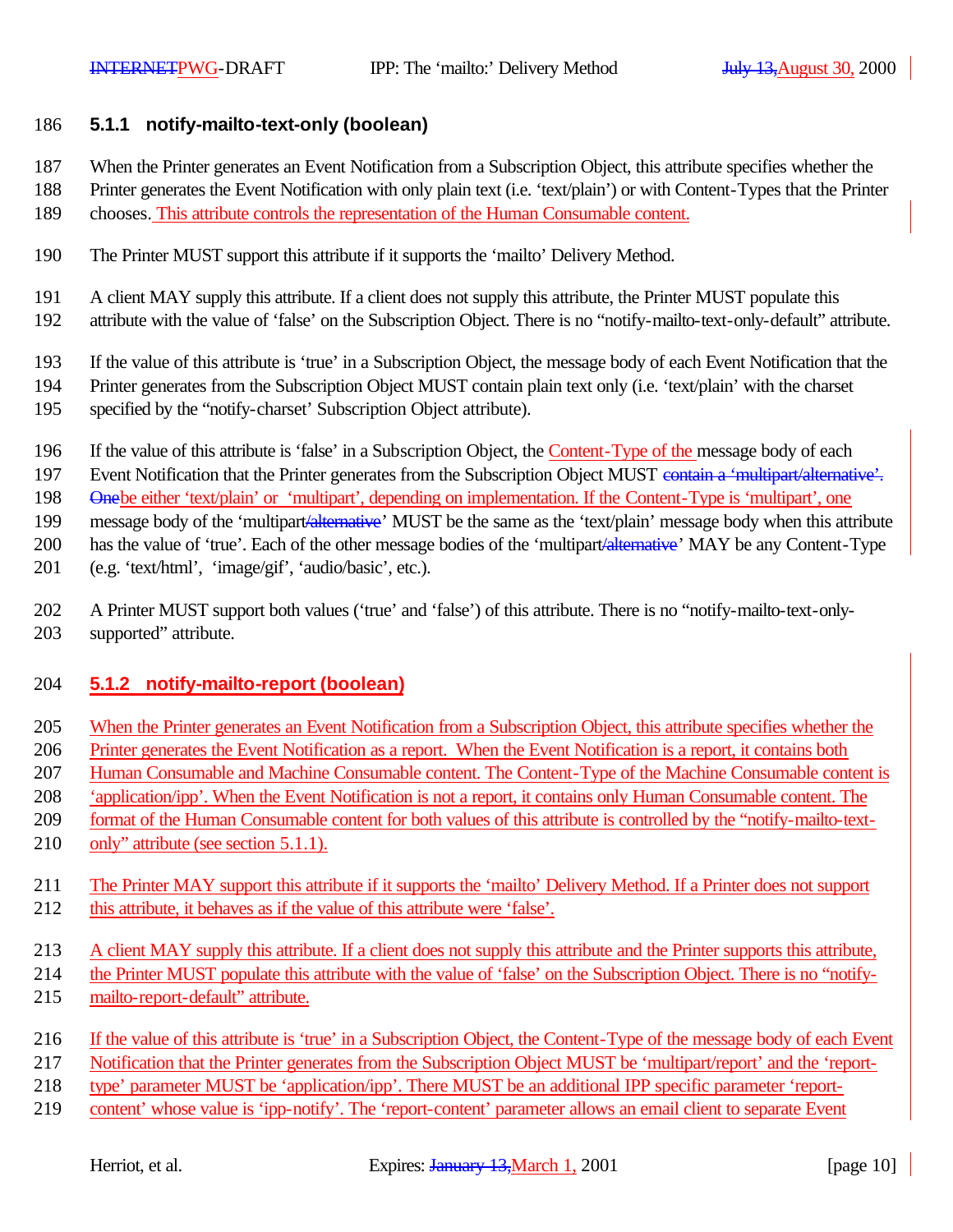#### **5.1.1 notify-mailto-text-only (boolean)**

- When the Printer generates an Event Notification from a Subscription Object, this attribute specifies whether the
- Printer generates the Event Notification with only plain text (i.e. 'text/plain') or with Content-Types that the Printer
- chooses. This attribute controls the representation of the Human Consumable content.
- The Printer MUST support this attribute if it supports the 'mailto' Delivery Method.
- A client MAY supply this attribute. If a client does not supply this attribute, the Printer MUST populate this
- attribute with the value of 'false' on the Subscription Object. There is no "notify-mailto-text-only-default" attribute.
- If the value of this attribute is 'true' in a Subscription Object, the message body of each Event Notification that the
- Printer generates from the Subscription Object MUST contain plain text only (i.e. 'text/plain' with the charset
- specified by the "notify-charset' Subscription Object attribute).
- If the value of this attribute is 'false' in a Subscription Object, the Content-Type of the message body of each
- 197 Event Notification that the Printer generates from the Subscription Object MUST contain a 'multipart/alternative'.

Onebe either 'text/plain' or 'multipart', depending on implementation. If the Content-Type is 'multipart', one

199 message body of the 'multipart-alternative' MUST be the same as the 'text/plain' message body when this attribute

200 has the value of 'true'. Each of the other message bodies of the 'multipart<del>'alternative</del>' MAY be any Content-Type

- (e.g. 'text/html', 'image/gif', 'audio/basic', etc.).
- A Printer MUST support both values ('true' and 'false') of this attribute. There is no "notify-mailto-text-only-supported" attribute.

### **5.1.2 notify-mailto-report (boolean)**

- When the Printer generates an Event Notification from a Subscription Object, this attribute specifies whether the
- Printer generates the Event Notification as a report. When the Event Notification is a report, it contains both
- Human Consumable and Machine Consumable content. The Content-Type of the Machine Consumable content is
- 'application/ipp'. When the Event Notification is not a report, it contains only Human Consumable content. The
- 209 format of the Human Consumable content for both values of this attribute is controlled by the "notify-mailto-text-
- 210 only" attribute (see section 5.1.1).
- The Printer MAY support this attribute if it supports the 'mailto' Delivery Method. If a Printer does not support this attribute, it behaves as if the value of this attribute were 'false'.
- A client MAY supply this attribute. If a client does not supply this attribute and the Printer supports this attribute,
- the Printer MUST populate this attribute with the value of 'false' on the Subscription Object. There is no "notify-
- mailto-report-default" attribute.
- If the value of this attribute is 'true' in a Subscription Object, the Content-Type of the message body of each Event
- Notification that the Printer generates from the Subscription Object MUST be 'multipart/report' and the 'report-
- type' parameter MUST be 'application/ipp'. There MUST be an additional IPP specific parameter 'report-
- content' whose value is 'ipp-notify'. The 'report-content' parameter allows an email client to separate Event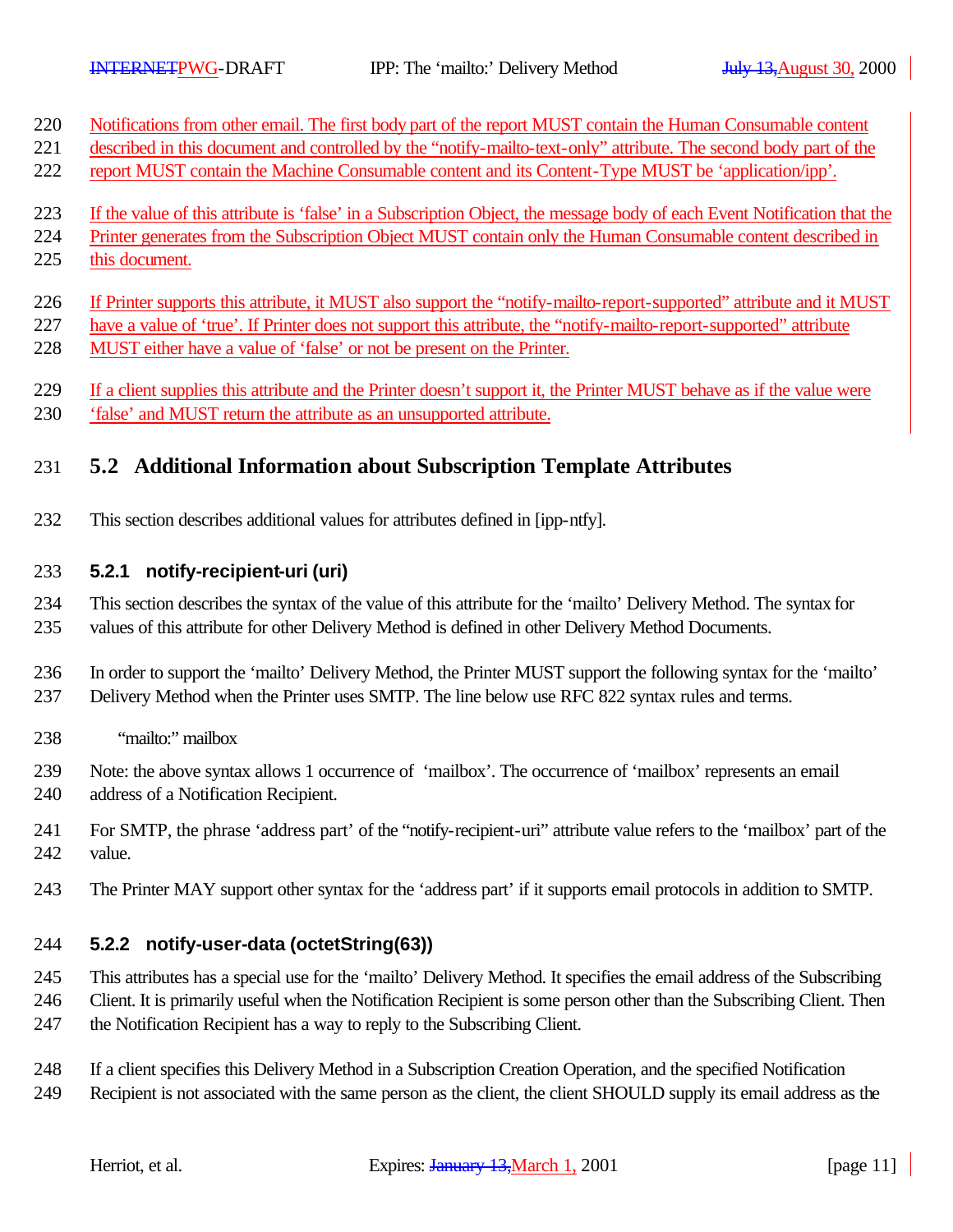- Notifications from other email. The first body part of the report MUST contain the Human Consumable content
- described in this document and controlled by the "notify-mailto-text-only" attribute. The second body part of the
- report MUST contain the Machine Consumable content and its Content-Type MUST be 'application/ipp'.
- If the value of this attribute is 'false' in a Subscription Object, the message body of each Event Notification that the
- Printer generates from the Subscription Object MUST contain only the Human Consumable content described in
- this document.
- If Printer supports this attribute, it MUST also support the "notify-mailto-report-supported" attribute and it MUST
- 227 have a value of 'true'. If Printer does not support this attribute, the "notify-mailto-report-supported" attribute
- 228 MUST either have a value of 'false' or not be present on the Printer.
- If a client supplies this attribute and the Printer doesn't support it, the Printer MUST behave as if the value were
- 'false' and MUST return the attribute as an unsupported attribute.

## **5.2 Additional Information about Subscription Template Attributes**

This section describes additional values for attributes defined in [ipp-ntfy].

### **5.2.1 notify-recipient-uri (uri)**

 This section describes the syntax of the value of this attribute for the 'mailto' Delivery Method. The syntax for values of this attribute for other Delivery Method is defined in other Delivery Method Documents.

 In order to support the 'mailto' Delivery Method, the Printer MUST support the following syntax for the 'mailto' Delivery Method when the Printer uses SMTP. The line below use RFC 822 syntax rules and terms.

- "mailto:" mailbox
- Note: the above syntax allows 1 occurrence of 'mailbox'. The occurrence of 'mailbox' represents an email address of a Notification Recipient.
- For SMTP, the phrase 'address part' of the "notify-recipient-uri" attribute value refers to the 'mailbox' part of the value.
- The Printer MAY support other syntax for the 'address part' if it supports email protocols in addition to SMTP.

### **5.2.2 notify-user-data (octetString(63))**

- This attributes has a special use for the 'mailto' Delivery Method. It specifies the email address of the Subscribing
- Client. It is primarily useful when the Notification Recipient is some person other than the Subscribing Client. Then
- the Notification Recipient has a way to reply to the Subscribing Client.
- If a client specifies this Delivery Method in a Subscription Creation Operation, and the specified Notification
- Recipient is not associated with the same person as the client, the client SHOULD supply its email address as the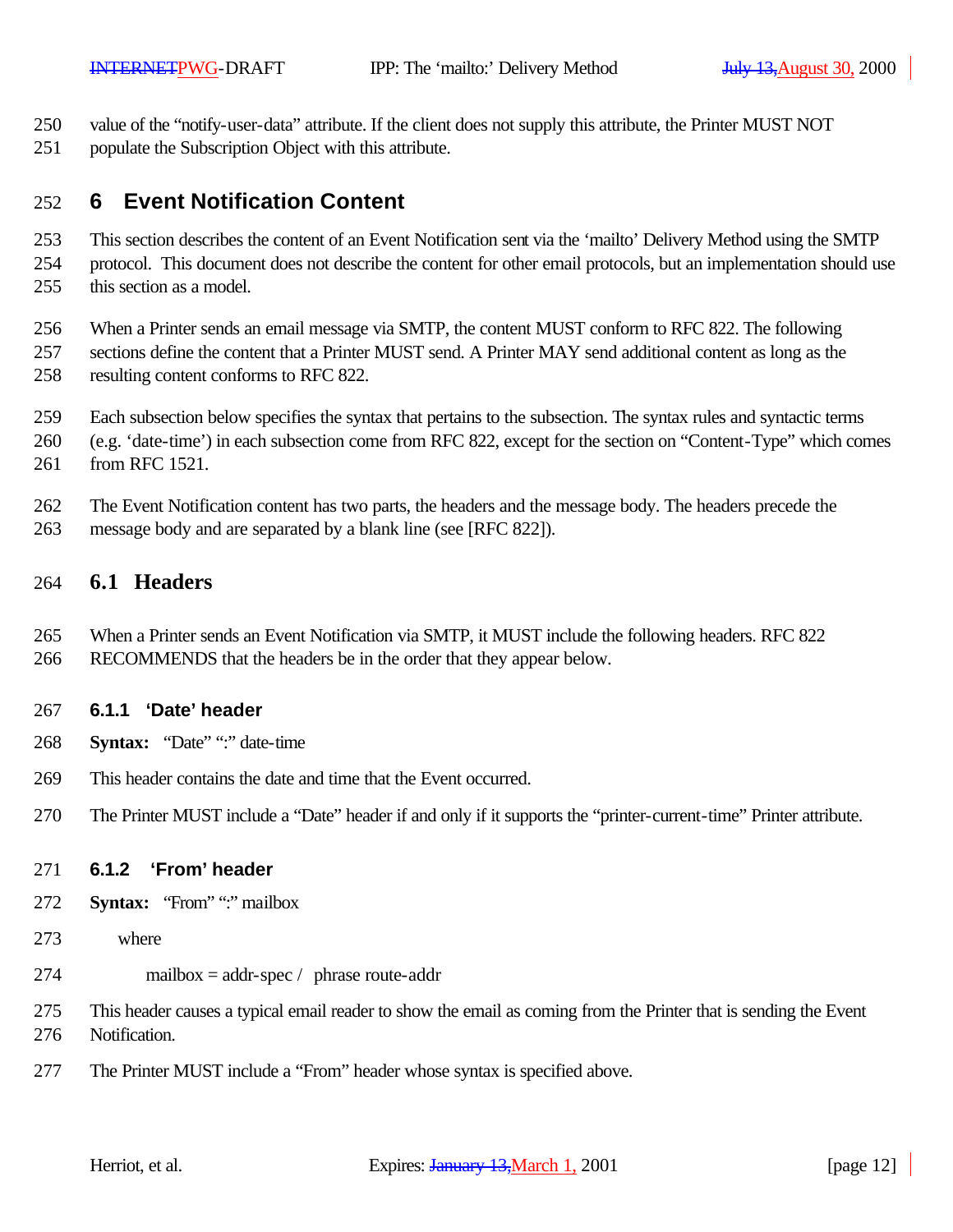- value of the "notify-user-data" attribute. If the client does not supply this attribute, the Printer MUST NOT
- populate the Subscription Object with this attribute.

## **6 Event Notification Content**

 This section describes the content of an Event Notification sent via the 'mailto' Delivery Method using the SMTP protocol. This document does not describe the content for other email protocols, but an implementation should use

this section as a model.

When a Printer sends an email message via SMTP, the content MUST conform to RFC 822. The following

- sections define the content that a Printer MUST send. A Printer MAY send additional content as long as the resulting content conforms to RFC 822.
- Each subsection below specifies the syntax that pertains to the subsection. The syntax rules and syntactic terms
- (e.g. 'date-time') in each subsection come from RFC 822, except for the section on "Content-Type" which comes from RFC 1521.
- The Event Notification content has two parts, the headers and the message body. The headers precede the
- message body and are separated by a blank line (see [RFC 822]).

### **6.1 Headers**

- When a Printer sends an Event Notification via SMTP, it MUST include the following headers. RFC 822
- RECOMMENDS that the headers be in the order that they appear below.

### **6.1.1 'Date' header**

- **Syntax:** "Date" ":" date-time
- This header contains the date and time that the Event occurred.
- The Printer MUST include a "Date" header if and only if it supports the "printer-current-time" Printer attribute.

### **6.1.2 'From' header**

- **Syntax:** "From" ":" mailbox
- where
- mailbox = addr-spec / phrase route-addr
- This header causes a typical email reader to show the email as coming from the Printer that is sending the Event Notification.
- The Printer MUST include a "From" header whose syntax is specified above.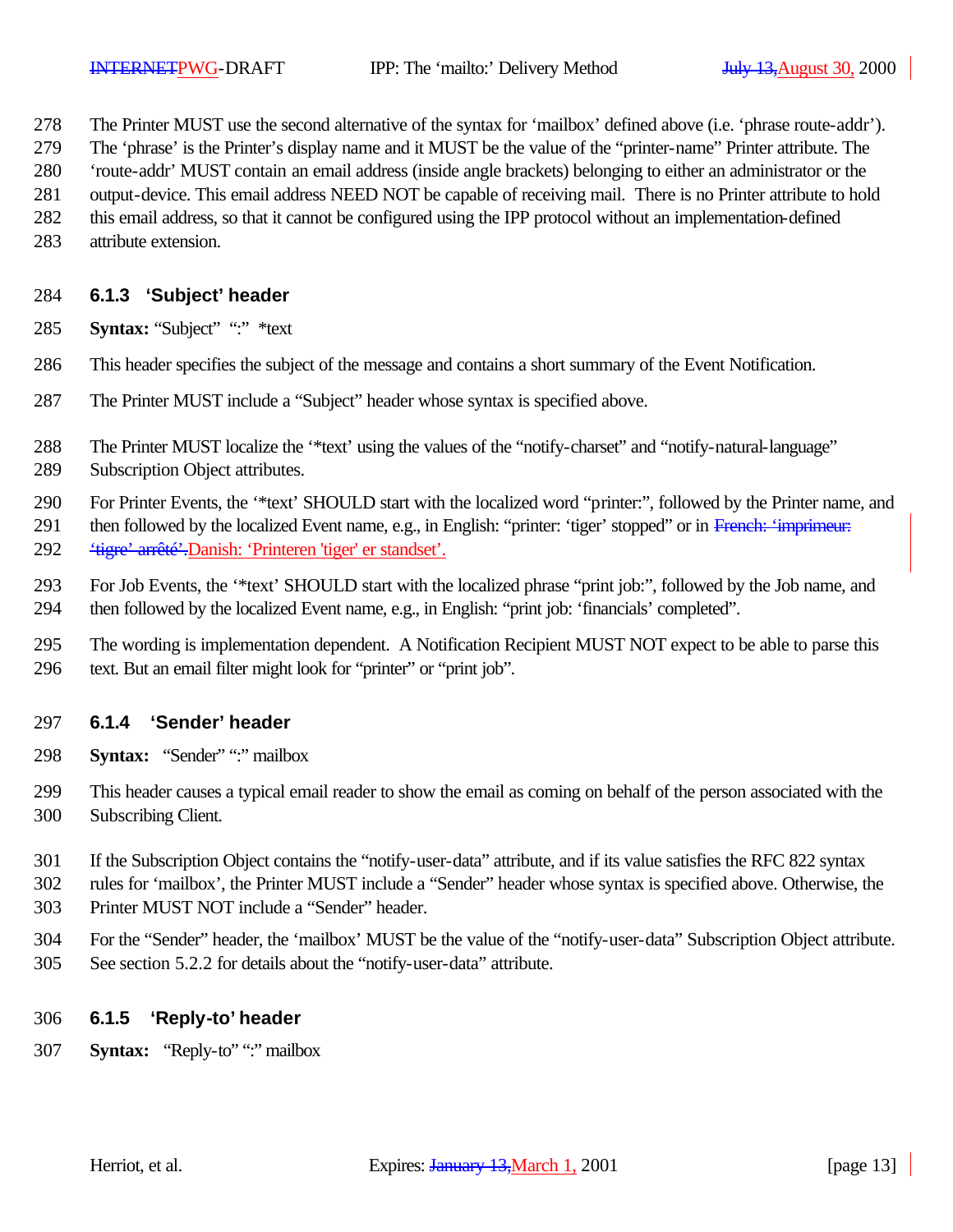- The Printer MUST use the second alternative of the syntax for 'mailbox' defined above (i.e. 'phrase route-addr').
- The 'phrase' is the Printer's display name and it MUST be the value of the "printer-name" Printer attribute. The
- 'route-addr' MUST contain an email address (inside angle brackets) belonging to either an administrator or the
- output-device. This email address NEED NOT be capable of receiving mail. There is no Printer attribute to hold
- this email address, so that it cannot be configured using the IPP protocol without an implementation-defined
- attribute extension.

### **6.1.3 'Subject' header**

- **Syntax:** "Subject" ":" \*text
- This header specifies the subject of the message and contains a short summary of the Event Notification.
- The Printer MUST include a "Subject" header whose syntax is specified above.
- The Printer MUST localize the '\*text' using the values of the "notify-charset" and "notify-natural-language"
- Subscription Object attributes.
- For Printer Events, the '\*text' SHOULD start with the localized word "printer:", followed by the Printer name, and
- 291 then followed by the localized Event name, e.g., in English: "printer: 'tiger' stopped" or in French: 'imprimeur: 'tigre' arrêté'.Danish: 'Printeren 'tiger' er standset'.
- For Job Events, the '\*text' SHOULD start with the localized phrase "print job:", followed by the Job name, and then followed by the localized Event name, e.g., in English: "print job: 'financials' completed".
- The wording is implementation dependent. A Notification Recipient MUST NOT expect to be able to parse this text. But an email filter might look for "printer" or "print job".

### **6.1.4 'Sender' header**

- **Syntax:** "Sender" ":" mailbox
- This header causes a typical email reader to show the email as coming on behalf of the person associated with the Subscribing Client.
- If the Subscription Object contains the "notify-user-data" attribute, and if its value satisfies the RFC 822 syntax
- rules for 'mailbox', the Printer MUST include a "Sender" header whose syntax is specified above. Otherwise, the
- Printer MUST NOT include a "Sender" header.
- For the "Sender" header, the 'mailbox' MUST be the value of the "notify-user-data" Subscription Object attribute. See section 5.2.2 for details about the "notify-user-data" attribute.

#### **6.1.5 'Reply-to' header**

**Syntax:** "Reply-to" ":" mailbox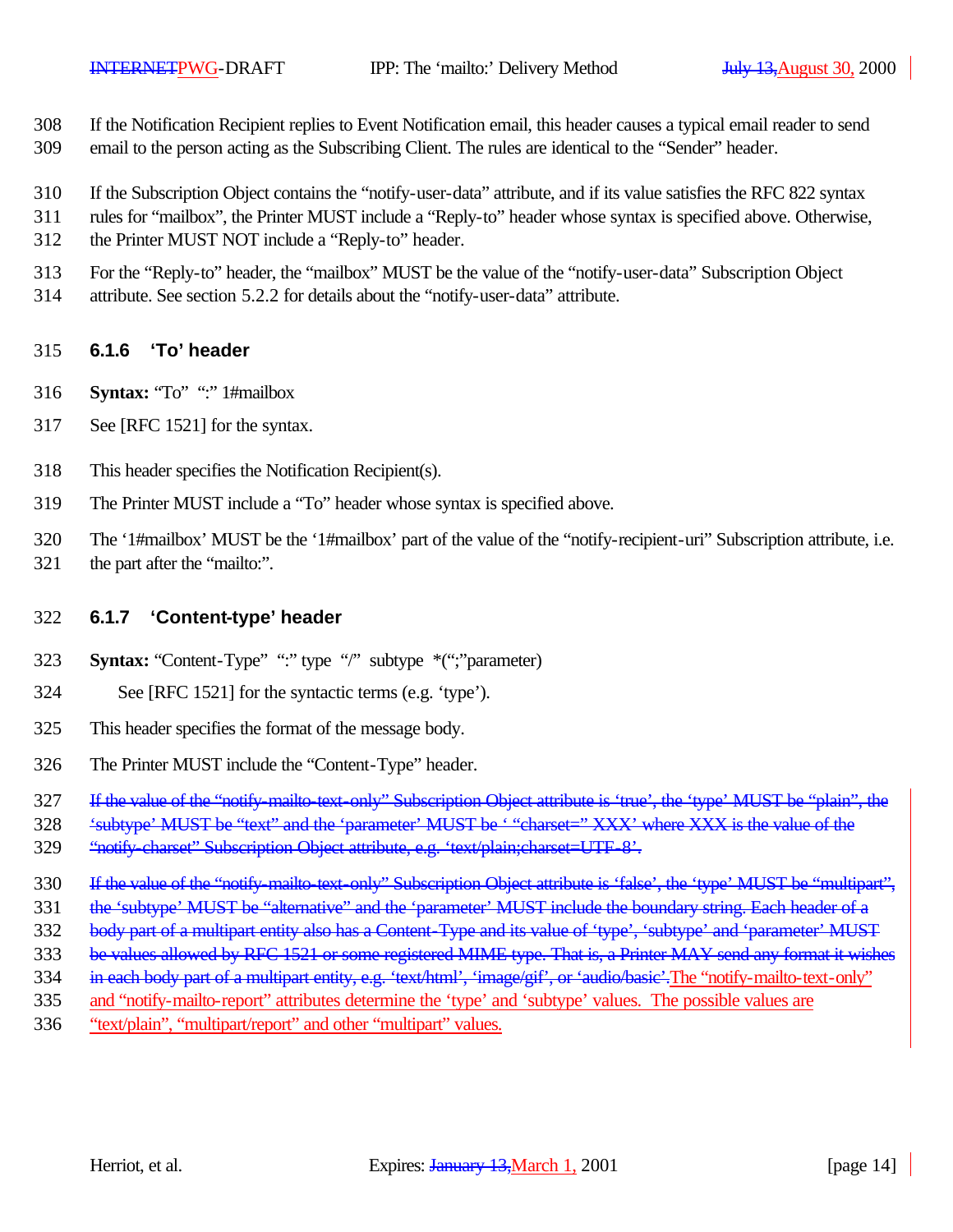- If the Notification Recipient replies to Event Notification email, this header causes a typical email reader to send
- email to the person acting as the Subscribing Client. The rules are identical to the "Sender" header.
- If the Subscription Object contains the "notify-user-data" attribute, and if its value satisfies the RFC 822 syntax
- rules for "mailbox", the Printer MUST include a "Reply-to" header whose syntax is specified above. Otherwise,
- the Printer MUST NOT include a "Reply-to" header.
- For the "Reply-to" header, the "mailbox" MUST be the value of the "notify-user-data" Subscription Object
- attribute. See section 5.2.2 for details about the "notify-user-data" attribute.

#### **6.1.6 'To' header**

- **Syntax:** "To" ":" 1#mailbox
- See [RFC 1521] for the syntax.
- This header specifies the Notification Recipient(s).
- The Printer MUST include a "To" header whose syntax is specified above.
- The '1#mailbox' MUST be the '1#mailbox' part of the value of the "notify-recipient-uri" Subscription attribute, i.e.
- 321 the part after the "mailto:".

### **6.1.7 'Content-type' header**

- **Syntax:** "Content-Type" ":" type "/" subtype \*(";"parameter)
- See [RFC 1521] for the syntactic terms (e.g. 'type').
- This header specifies the format of the message body.
- The Printer MUST include the "Content-Type" header.
- If the value of the "notify-mailto-text-only" Subscription Object attribute is 'true', the 'type' MUST be "plain", the
- 'subtype' MUST be "text" and the 'parameter' MUST be ' "charset=" XXX' where XXX is the value of the
- 329 "notify-charset" Subscription Object attribute, e.g. 'text/plain;charset=UTF-8'.
- 330 If the value of the "notify-mailto-text-only" Subscription Object attribute is 'false', the 'type' MUST be "multipart",
- 331 the 'subtype' MUST be "alternative" and the 'parameter' MUST include the boundary string. Each header of a
- 332 body part of a multipart entity also has a Content-Type and its value of 'type', 'subtype' and 'parameter' MUST
- 333 be values allowed by RFC 1521 or some registered MIME type. That is, a Printer MAY send any format it wishes
- 334 in each body part of a multipart entity, e.g. 'text/html', 'image/gif', or 'audio/basic'. The "notify-mailto-text-only"
- and "notify-mailto-report" attributes determine the 'type' and 'subtype' values. The possible values are
- "text/plain", "multipart/report" and other "multipart" values.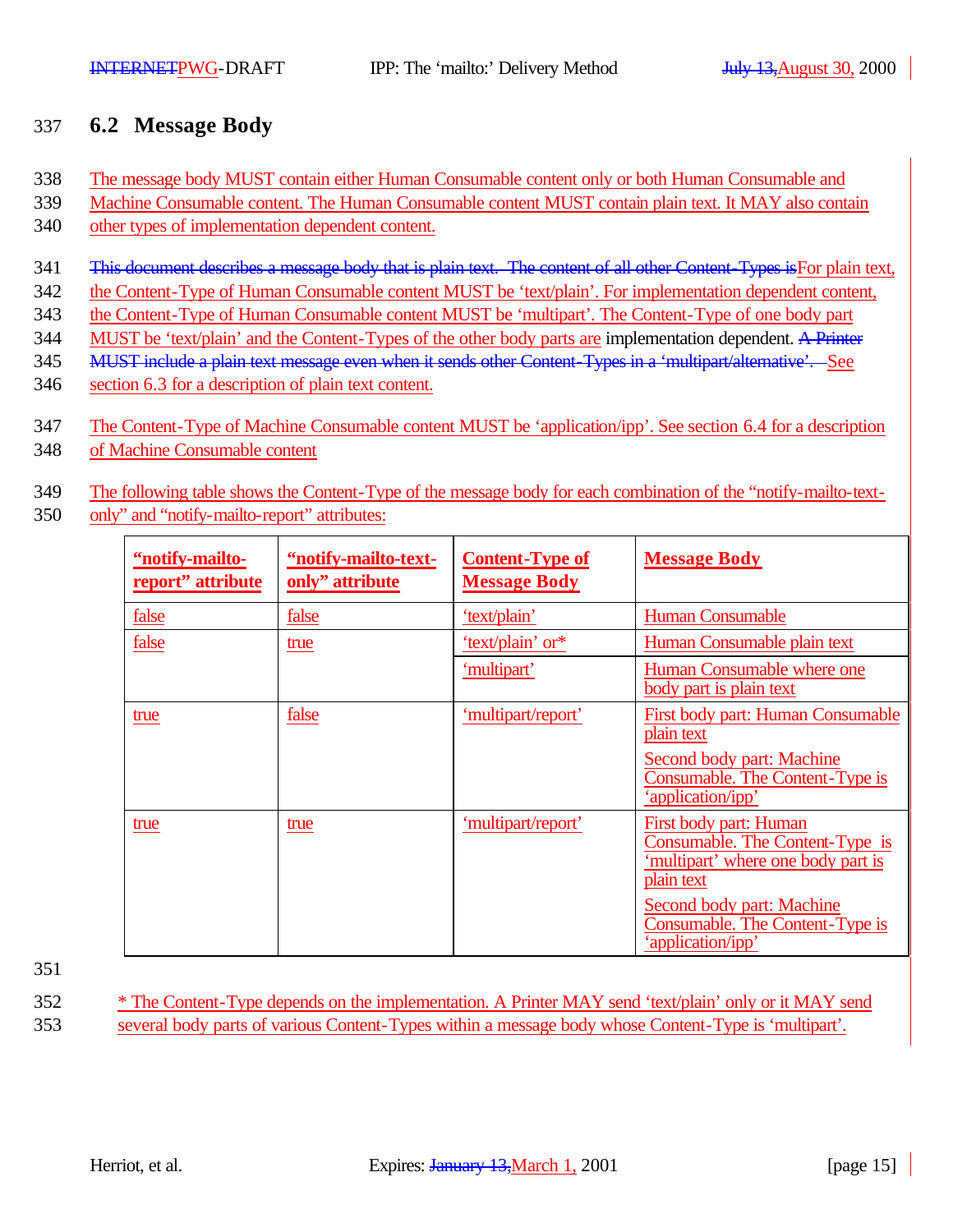## 337 **6.2 Message Body**

- 338 The message body MUST contain either Human Consumable content only or both Human Consumable and
- 339 Machine Consumable content. The Human Consumable content MUST contain plain text. It MAY also contain
- 340 other types of implementation dependent content.
- 341 This document describes a message body that is plain text. The content of all other Content-Types is For plain text,
- 342 the Content-Type of Human Consumable content MUST be 'text/plain'. For implementation dependent content,
- 343 the Content-Type of Human Consumable content MUST be 'multipart'. The Content-Type of one body part
- 344 MUST be 'text/plain' and the Content-Types of the other body parts are implementation dependent. A Printer
- 345 MUST include a plain text message even when it sends other Content-Types in a 'multipart/alternative'. See
- 346 section 6.3 for a description of plain text content.
- 347 The Content-Type of Machine Consumable content MUST be 'application/ipp'. See section 6.4 for a description
- 348 of Machine Consumable content
- 349 The following table shows the Content-Type of the message body for each combination of the "notify-mailto-text-
- 350 only" and "notify-mailto-report" attributes:

| "notify-mailto-<br>report" attribute | "notify-mailto-text-<br>only" attribute | <b>Content-Type of</b><br><b>Message Body</b> | <b>Message Body</b>                                                                                           |
|--------------------------------------|-----------------------------------------|-----------------------------------------------|---------------------------------------------------------------------------------------------------------------|
| false                                | false                                   | 'text/plain'                                  | <b>Human Consumable</b>                                                                                       |
| false                                | true                                    | 'text/plain' or*                              | Human Consumable plain text                                                                                   |
|                                      |                                         | 'multipart'                                   | Human Consumable where one<br>body part is plain text                                                         |
| true                                 | false                                   | 'multipart/report'                            | First body part: Human Consumable<br>plain text                                                               |
|                                      |                                         |                                               | Second body part: Machine<br>Consumable. The Content-Type is<br>'application/ipp'                             |
| true                                 | true                                    | 'multipart/report'                            | First body part: Human<br>Consumable. The Content-Type is<br>'multipart' where one body part is<br>plain text |
|                                      |                                         |                                               | Second body part: Machine<br>Consumable. The Content-Type is<br>'application/ipp'                             |

351

352 \* The Content-Type depends on the implementation. A Printer MAY send 'text/plain' only or it MAY send 353 several body parts of various Content-Types within a message body whose Content-Type is 'multipart'.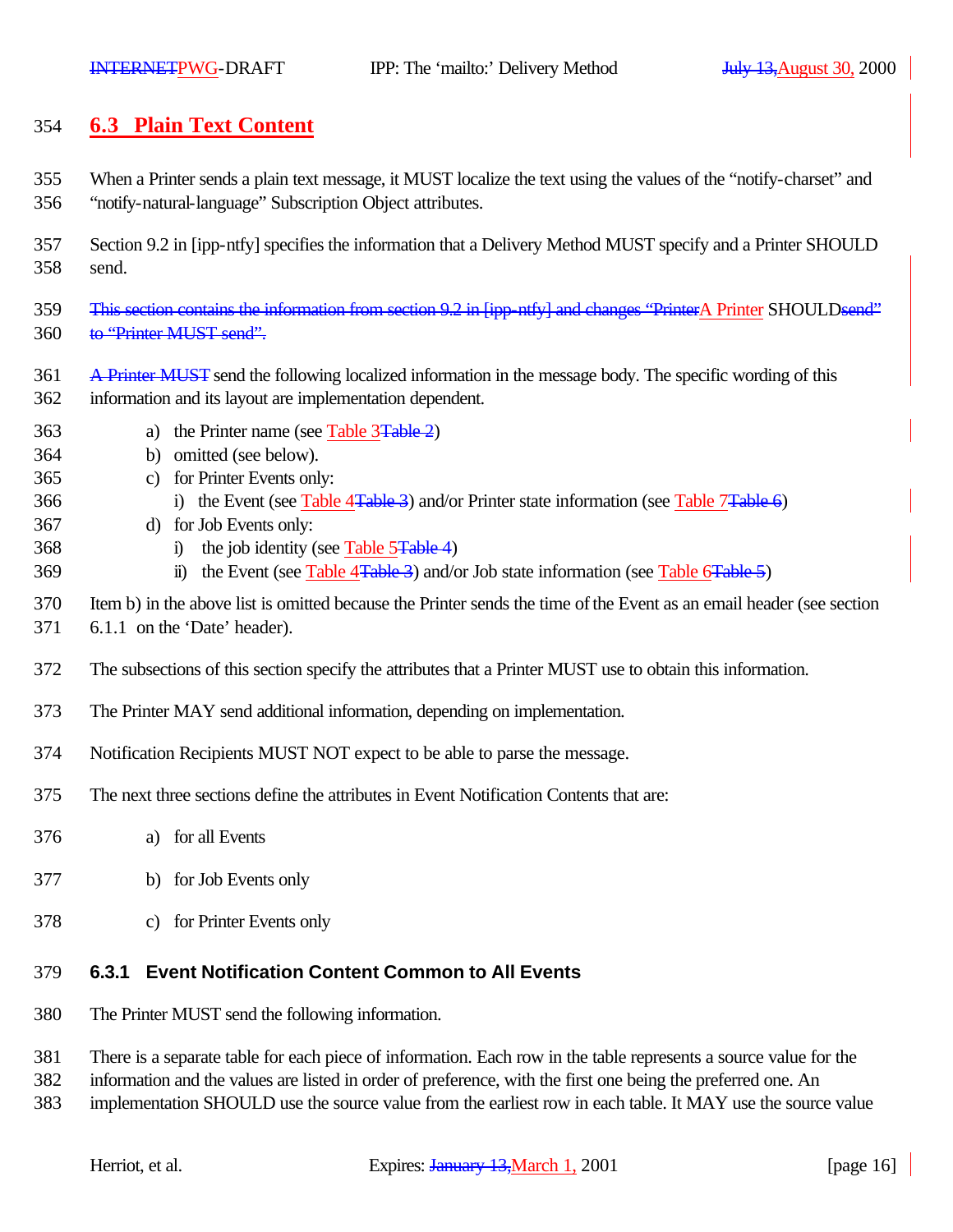## **6.3 Plain Text Content**

- When a Printer sends a plain text message, it MUST localize the text using the values of the "notify-charset" and "notify-natural-language" Subscription Object attributes.
- Section 9.2 in [ipp-ntfy] specifies the information that a Delivery Method MUST specify and a Printer SHOULD send.
- 359 This section contains the information from section 9.2 in [ipp-ntfy] and changes "PrinterA Printer SHOULDsend" 360 to "Printer MUST send".
- A Printer MUST send the following localized information in the message body. The specific wording of this information and its layout are implementation dependent.
- 363 a) the Printer name (see Table 3<del>Table 2</del>)
- b) omitted (see below).
- c) for Printer Events only:
- 366 i) the Event (see Table 4<del>Table 3</del>) and/or Printer state information (see Table 7<del>Table 6</del>)
- d) for Job Events only:
- 368 i) the job identity (see Table 5Table 4)
- 369 ii) the Event (see Table 4Table 3) and/or Job state information (see Table 6Table 5)
- Item b) in the above list is omitted because the Printer sends the time of the Event as an email header (see section
- 6.1.1 on the 'Date' header).
- The subsections of this section specify the attributes that a Printer MUST use to obtain this information.
- The Printer MAY send additional information, depending on implementation.
- Notification Recipients MUST NOT expect to be able to parse the message.
- The next three sections define the attributes in Event Notification Contents that are:
- a) for all Events
- b) for Job Events only
- c) for Printer Events only

## **6.3.1 Event Notification Content Common to All Events**

- The Printer MUST send the following information.
- There is a separate table for each piece of information. Each row in the table represents a source value for the
- information and the values are listed in order of preference, with the first one being the preferred one. An
- implementation SHOULD use the source value from the earliest row in each table. It MAY use the source value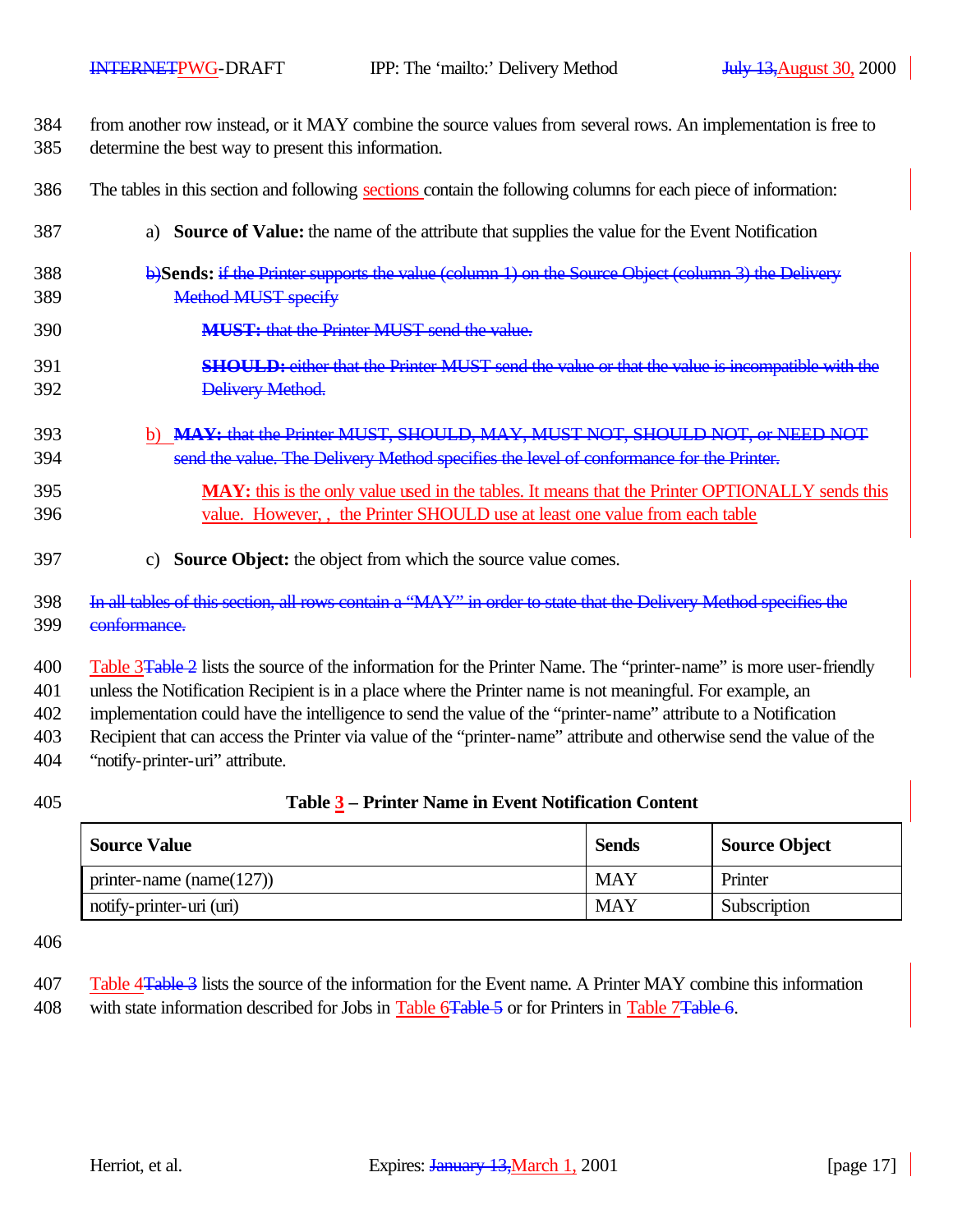| 384 | from another row instead, or it MAY combine the source values from several rows. An implementation is free to |
|-----|---------------------------------------------------------------------------------------------------------------|
| 385 | determine the best way to present this information.                                                           |

- The tables in this section and following sections contain the following columns for each piece of information:
- a) **Source of Value:** the name of the attribute that supplies the value for the Event Notification
- b)**Sends:** if the Printer supports the value (column 1) on the Source Object (column 3) the Delivery Method MUST specify
- **MUST:** that the Printer MUST send the value.
- **SHOULD:** either that the Printer MUST send the value or that the value is incompatible with the Delivery Method.
- b) **MAY:** that the Printer MUST, SHOULD, MAY, MUST NOT, SHOULD NOT, or NEED NOT send the value. The Delivery Method specifies the level of conformance for the Printer.
- **MAY:** this is the only value used in the tables. It means that the Printer OPTIONALLY sends this value. However, , the Printer SHOULD use at least one value from each table
- c) **Source Object:** the object from which the source value comes.
- In all tables of this section, all rows contain a "MAY" in order to state that the Delivery Method specifies the conformance.

400 Table 3Table 2 lists the source of the information for the Printer Name. The "printer-name" is more user-friendly

unless the Notification Recipient is in a place where the Printer name is not meaningful. For example, an

implementation could have the intelligence to send the value of the "printer-name" attribute to a Notification

Recipient that can access the Printer via value of the "printer-name" attribute and otherwise send the value of the

- "notify-printer-uri" attribute.
- 

#### **Table 3 – Printer Name in Event Notification Content**

| <b>Source Value</b>          | <b>Sends</b> | <b>Source Object</b> |
|------------------------------|--------------|----------------------|
| printer-name (name( $127$ )) | <b>MAY</b>   | Printer              |
| notify-printer-uri (uri)     | <b>MAY</b>   | Subscription         |

| 407 | Table 4 <del>Table 3</del> lists the source of the information for the Event name. A Printer MAY combine this information |
|-----|---------------------------------------------------------------------------------------------------------------------------|
| 408 | with state information described for Jobs in Table 6 Fable 5 or for Printers in Table 7 Fable 6.                          |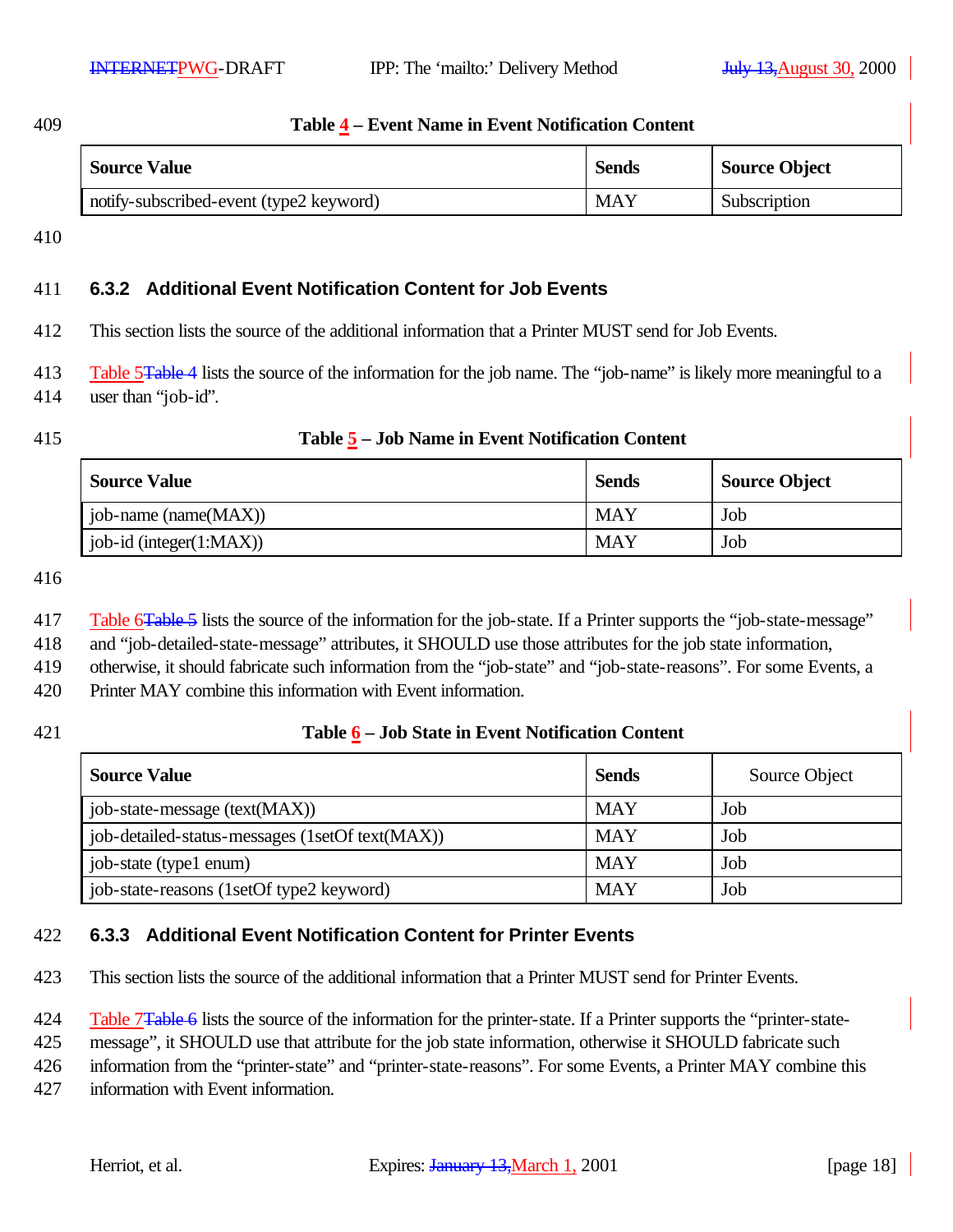#### 409 **Table 4 – Event Name in Event Notification Content**

| <b>Source Value</b>                     | <b>Sends</b> | <b>Source Object</b> |
|-----------------------------------------|--------------|----------------------|
| notify-subscribed-event (type2 keyword) | <b>MAY</b>   | Subscription         |

410

### 411 **6.3.2 Additional Event Notification Content for Job Events**

412 This section lists the source of the additional information that a Printer MUST send for Job Events.

413 Table 5Table 4 lists the source of the information for the job name. The "job-name" is likely more meaningful to a 414 user than "job-id".

#### 415 **Table 5 – Job Name in Event Notification Content**

| <b>Source Value</b>           | <b>Sends</b> | <b>Source Object</b> |
|-------------------------------|--------------|----------------------|
| job-name (name(MAX))          | MAY          | Job                  |
| $job-id$ (integer $(1:MAX)$ ) | <b>MAY</b>   | Job                  |

416

- 417 Table 6Table 5 lists the source of the information for the job-state. If a Printer supports the "job-state-message"
- 418 and "job-detailed-state-message" attributes, it SHOULD use those attributes for the job state information,
- 419 otherwise, it should fabricate such information from the "job-state" and "job-state-reasons". For some Events, a
- 420 Printer MAY combine this information with Event information.

### 421 **Table 6 – Job State in Event Notification Content**

| <b>Source Value</b>                             | <b>Sends</b> | Source Object |
|-------------------------------------------------|--------------|---------------|
| job-state-message (text(MAX))                   | <b>MAY</b>   | Job           |
| job-detailed-status-messages (1setOf text(MAX)) | <b>MAY</b>   | Job           |
| job-state (type1 enum)                          | <b>MAY</b>   | Job           |
| job-state-reasons (1setOf type2 keyword)        | <b>MAY</b>   | Job           |

### 422 **6.3.3 Additional Event Notification Content for Printer Events**

423 This section lists the source of the additional information that a Printer MUST send for Printer Events.

424 Table 7Table 6 lists the source of the information for the printer-state. If a Printer supports the "printer-state-

425 message", it SHOULD use that attribute for the job state information, otherwise it SHOULD fabricate such

426 information from the "printer-state" and "printer-state-reasons". For some Events, a Printer MAY combine this

427 information with Event information.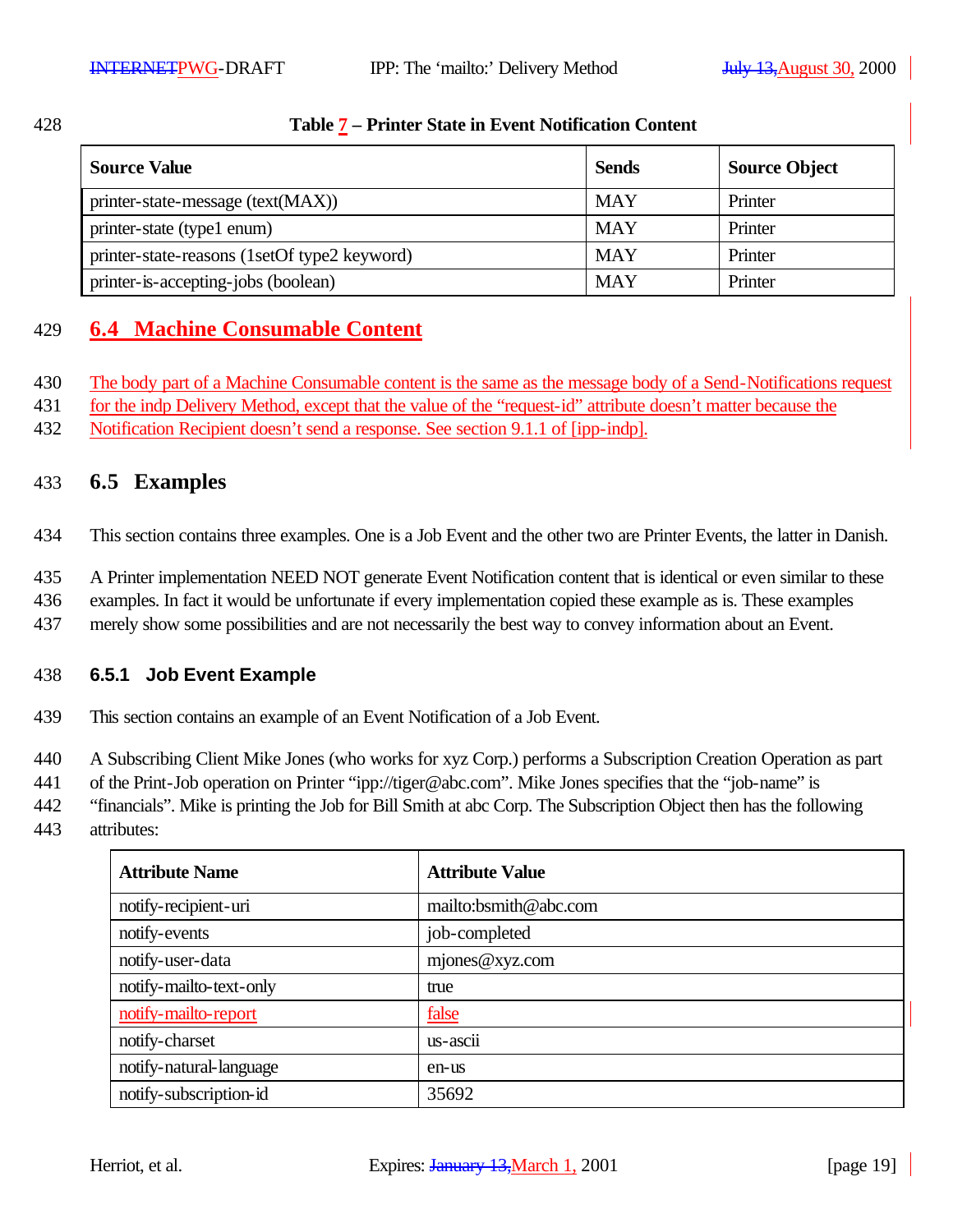| 28 |  |  |
|----|--|--|
|    |  |  |

#### 428 **Table 7 – Printer State in Event Notification Content**

| <b>Source Value</b>                          | <b>Sends</b> | <b>Source Object</b> |
|----------------------------------------------|--------------|----------------------|
| printer-state-message (text(MAX))            | <b>MAY</b>   | Printer              |
| printer-state (type1 enum)                   | <b>MAY</b>   | Printer              |
| printer-state-reasons (1setOf type2 keyword) | <b>MAY</b>   | Printer              |
| printer-is-accepting-jobs (boolean)          | <b>MAY</b>   | Printer              |

## 429 **6.4 Machine Consumable Content**

- 430 The body part of a Machine Consumable content is the same as the message body of a Send-Notifications request
- 431 for the indp Delivery Method, except that the value of the "request-id" attribute doesn't matter because the
- 432 Notification Recipient doesn't send a response. See section 9.1.1 of [ipp-indp].

### 433 **6.5 Examples**

434 This section contains three examples. One is a Job Event and the other two are Printer Events, the latter in Danish.

- 435 A Printer implementation NEED NOT generate Event Notification content that is identical or even similar to these
- 436 examples. In fact it would be unfortunate if every implementation copied these example as is. These examples
- 437 merely show some possibilities and are not necessarily the best way to convey information about an Event.

### 438 **6.5.1 Job Event Example**

439 This section contains an example of an Event Notification of a Job Event.

440 A Subscribing Client Mike Jones (who works for xyz Corp.) performs a Subscription Creation Operation as part

441 of the Print-Job operation on Printer "ipp://tiger@abc.com". Mike Jones specifies that the "job-name" is

442 "financials". Mike is printing the Job for Bill Smith at abc Corp. The Subscription Object then has the following

443 attributes:

| <b>Attribute Name</b>   | <b>Attribute Value</b> |
|-------------------------|------------------------|
| notify-recipient-uri    | mailto:bsmith@abc.com  |
| notify-events           | job-completed          |
| notify-user-data        | mjones@xyz.com         |
| notify-mailto-text-only | true                   |
| notify-mailto-report    | false                  |
| notify-charset          | us-ascii               |
| notify-natural-language | en-us                  |
| notify-subscription-id  | 35692                  |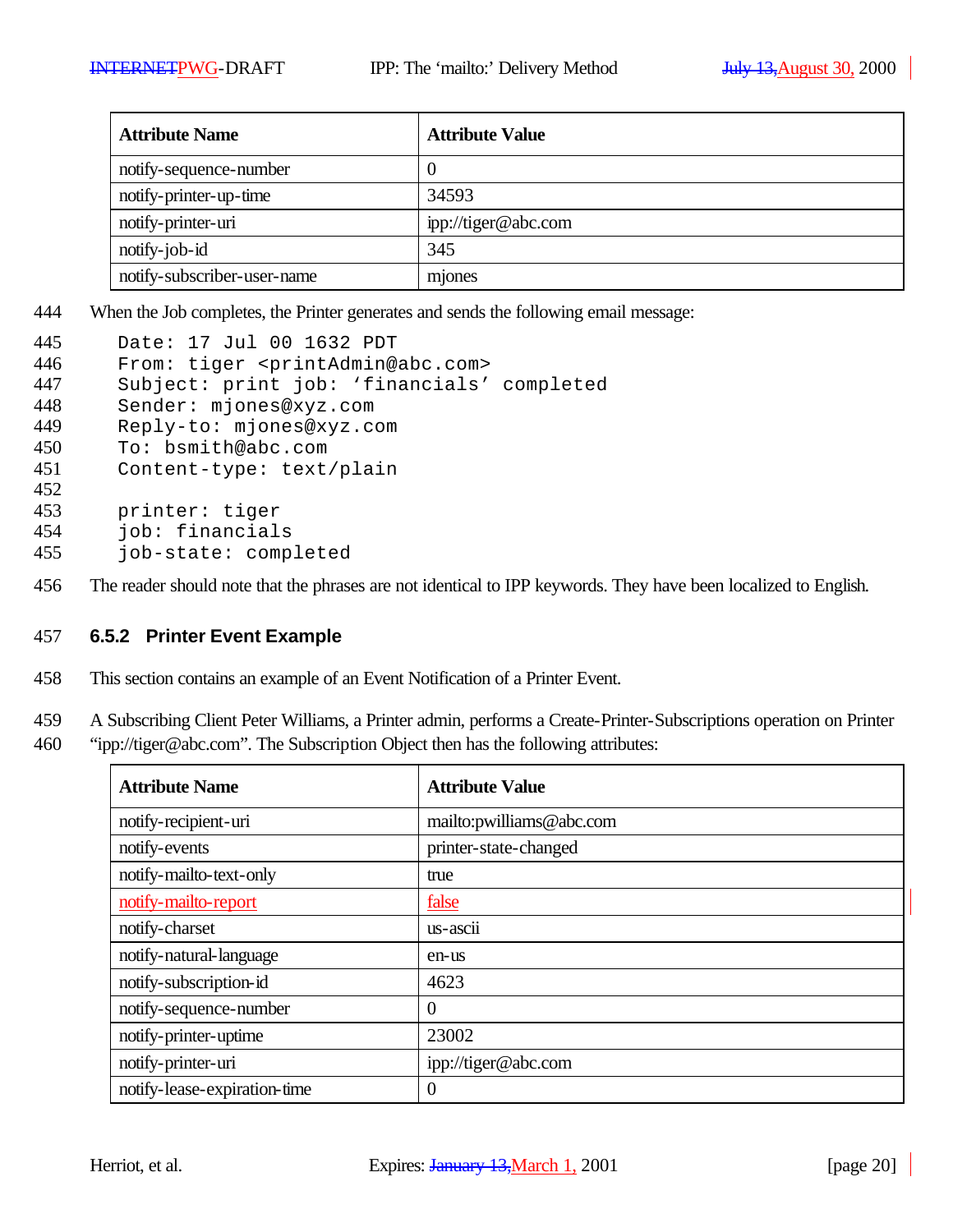| <b>Attribute Name</b>       | <b>Attribute Value</b> |
|-----------------------------|------------------------|
| notify-sequence-number      | U                      |
| notify-printer-up-time      | 34593                  |
| notify-printer-uri          | ipp://tiger@abc.com    |
| notify-job-id               | 345                    |
| notify-subscriber-user-name | mjones                 |

444 When the Job completes, the Printer generates and sends the following email message:

| 445 | Date: 17 Jul 00 1632 PDT                              |
|-----|-------------------------------------------------------|
| 446 | From: tiger <printadmin@abc.com></printadmin@abc.com> |
| 447 | Subject: print job: 'financials' completed            |
| 448 | Sender: mjones@xyz.com                                |
| 449 | Reply-to: mjones@xyz.com                              |
| 450 | To: bsmith@abc.com                                    |
| 451 | Content-type: text/plain                              |
| 452 |                                                       |
| 453 | printer: tiger                                        |
| 454 | job: financials                                       |
| 455 | job-state: completed                                  |
|     |                                                       |

456 The reader should note that the phrases are not identical to IPP keywords. They have been localized to English.

#### 457 **6.5.2 Printer Event Example**

458 This section contains an example of an Event Notification of a Printer Event.

459 A Subscribing Client Peter Williams, a Printer admin, performs a Create-Printer-Subscriptions operation on Printer

460 "ipp://tiger@abc.com". The Subscription Object then has the following attributes:

| <b>Attribute Name</b>        | <b>Attribute Value</b>   |
|------------------------------|--------------------------|
| notify-recipient-uri         | mailto:pwilliams@abc.com |
| notify-events                | printer-state-changed    |
| notify-mailto-text-only      | true                     |
| notify-mailto-report         | false                    |
| notify-charset               | us-ascii                 |
| notify-natural-language      | en-us                    |
| notify-subscription-id       | 4623                     |
| notify-sequence-number       | $\overline{0}$           |
| notify-printer-uptime        | 23002                    |
| notify-printer-uri           | ipp://tiger@abc.com      |
| notify-lease-expiration-time | $\overline{0}$           |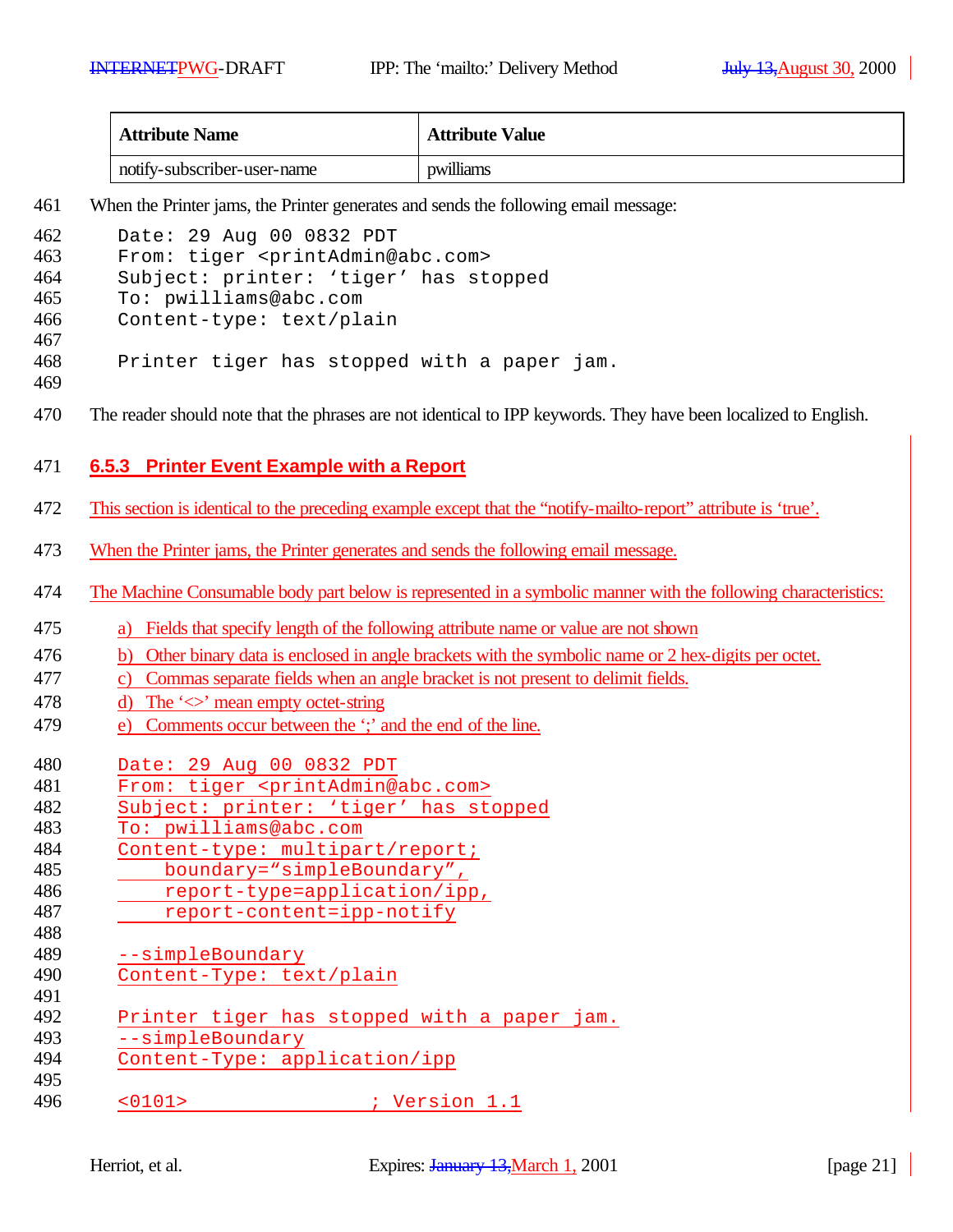| <b>Attribute Name</b>       | <b>Attribute Value</b> |
|-----------------------------|------------------------|
| notify-subscriber-user-name | pwilliams              |

When the Printer jams, the Printer generates and sends the following email message:

| 462        | Date: 29 Aug 00 0832 PDT                                                                                        |
|------------|-----------------------------------------------------------------------------------------------------------------|
| 463        | From: tiger <printadmin@abc.com></printadmin@abc.com>                                                           |
| 464        | Subject: printer: 'tiger' has stopped                                                                           |
| 465        | To: pwilliams@abc.com                                                                                           |
| 466        | Content-type: text/plain                                                                                        |
| 467        |                                                                                                                 |
| 468        | Printer tiger has stopped with a paper jam.                                                                     |
| 469        |                                                                                                                 |
| 470        | The reader should note that the phrases are not identical to IPP keywords. They have been localized to English. |
| 471        | 6.5.3 Printer Event Example with a Report                                                                       |
|            |                                                                                                                 |
| 472        | This section is identical to the preceding example except that the "notify-mailto-report" attribute is 'true'.  |
| 473        | When the Printer jams, the Printer generates and sends the following email message.                             |
| 474        | The Machine Consumable body part below is represented in a symbolic manner with the following characteristics:  |
| 475        | a) Fields that specify length of the following attribute name or value are not shown                            |
| 476        | b) Other binary data is enclosed in angle brackets with the symbolic name or 2 hex-digits per octet.            |
| 477        | Commas separate fields when an angle bracket is not present to delimit fields.<br>$\mathbf{c}$ )                |
| 478        | d) The ' $\iff$ ' mean empty octet-string                                                                       |
| 479        | e) Comments occur between the "; and the end of the line.                                                       |
|            |                                                                                                                 |
| 480        | Date: 29 Aug 00 0832 PDT                                                                                        |
| 481        | From: tiger <printadmin@abc.com></printadmin@abc.com>                                                           |
| 482        | Subject: printer: 'tiger' has stopped                                                                           |
| 483        | To: pwilliams@abc.com                                                                                           |
| 484<br>485 | Content-type: multipart/report;                                                                                 |
| 486        | boundary="simpleBoundary",                                                                                      |
| 487        | report-type=application/ipp,                                                                                    |
| 488        | report-content=ipp-notify                                                                                       |
| 489        | --simpleBoundary                                                                                                |
| 490        | Content-Type: text/plain                                                                                        |
| 491        |                                                                                                                 |
| 492        | Printer tiger has stopped with a paper jam.                                                                     |
| 493        | --simpleBoundary                                                                                                |
| 494        | Content-Type: application/ipp                                                                                   |
| 495        |                                                                                                                 |

<0101> ; Version 1.1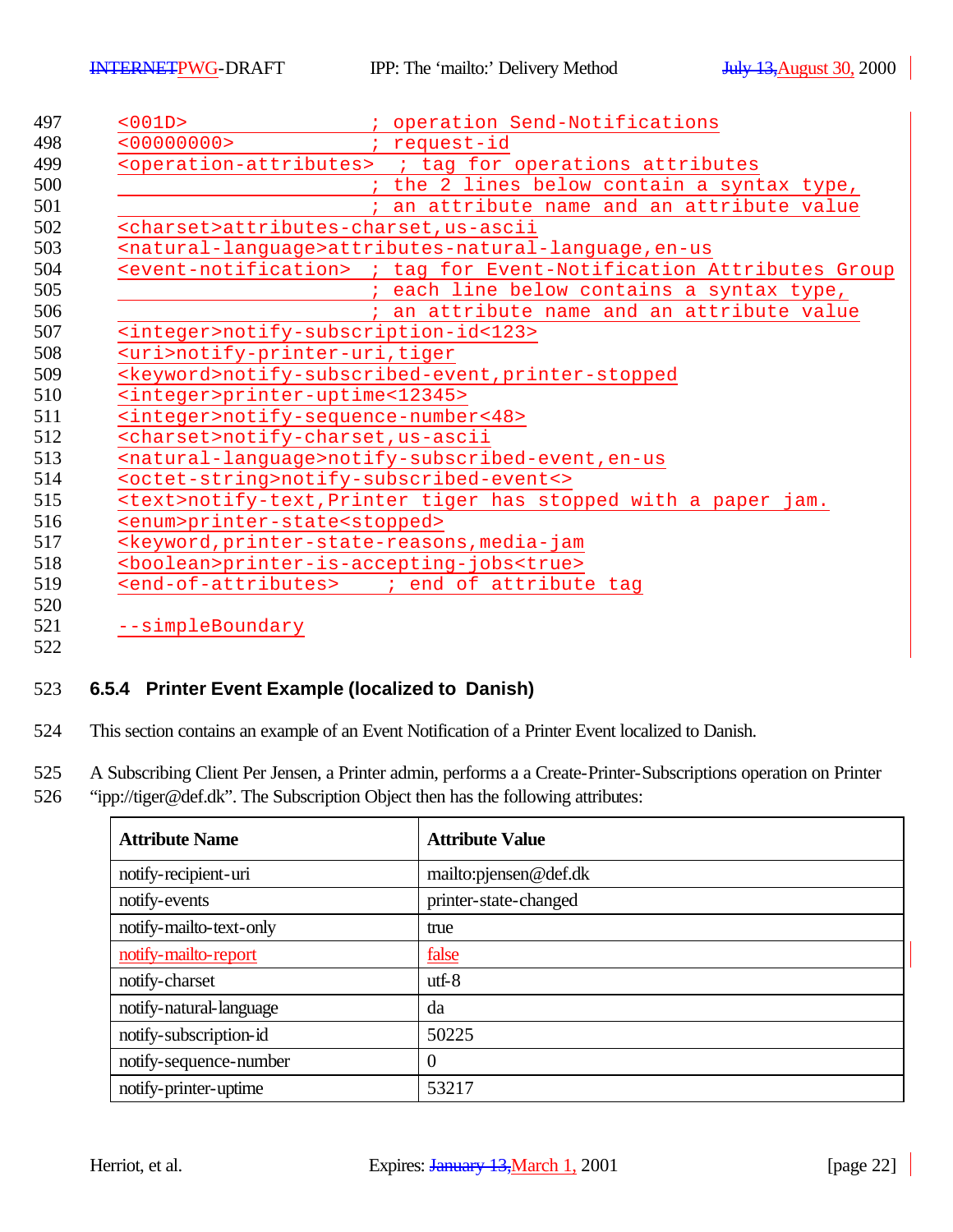| <001D>                                              | ; operation Send-Notifications                                                          |
|-----------------------------------------------------|-----------------------------------------------------------------------------------------|
| <00000000                                           | request-id                                                                              |
|                                                     | <operation-attributes> ; tag for operations attributes</operation-attributes>           |
|                                                     | the 2 lines below contain a syntax type,                                                |
|                                                     | an attribute name and an attribute value                                                |
|                                                     | <charset>attributes-charset, us-ascii</charset>                                         |
|                                                     | <natural-language>attributes-natural-language, en-us</natural-language>                 |
|                                                     | <event-notification> ; tag for Event-Notification Attributes Group</event-notification> |
|                                                     | each line below contains a syntax type,                                                 |
|                                                     | an attribute name and an attribute value                                                |
|                                                     | <integer>notify-subscription-id&lt;123&gt;</integer>                                    |
| <uri>notify-printer-uri, tiger</uri>                |                                                                                         |
|                                                     | <keyword>notify-subscribed-event, printer-stopped</keyword>                             |
| <integer>printer-uptime&lt;12345&gt;</integer>      |                                                                                         |
| <integer>notify-sequence-number&lt;48&gt;</integer> |                                                                                         |
| <charset>notify-charset,us-ascii</charset>          |                                                                                         |
|                                                     | <natural-language>notify-subscribed-event, en-us</natural-language>                     |
|                                                     | <octet-string>notify-subscribed-event&lt;&gt;</octet-string>                            |
|                                                     | <text>notify-text, Printer tiger has stopped with a paper jam.</text>                   |
| <enum>printer-state<stopped></stopped></enum>       |                                                                                         |
|                                                     | <keyword, media-jam<="" printer-state-reasons,="" td=""></keyword,>                     |
|                                                     | <boolean>printer-is-accepting-jobs<true></true></boolean>                               |
|                                                     | <end-of-attributes> ; end of attribute tag</end-of-attributes>                          |

### **6.5.4 Printer Event Example (localized to Danish)**

This section contains an example of an Event Notification of a Printer Event localized to Danish.

A Subscribing Client Per Jensen, a Printer admin, performs a a Create-Printer-Subscriptions operation on Printer

"ipp://tiger@def.dk". The Subscription Object then has the following attributes:

| <b>Attribute Name</b>   | <b>Attribute Value</b> |
|-------------------------|------------------------|
| notify-recipient-uri    | mailto: pjensen@def.dk |
| notify-events           | printer-state-changed  |
| notify-mailto-text-only | true                   |
| notify-mailto-report    | false                  |
| notify-charset          | $utf-8$                |
| notify-natural-language | da                     |
| notify-subscription-id  | 50225                  |
| notify-sequence-number  | 0                      |
| notify-printer-uptime   | 53217                  |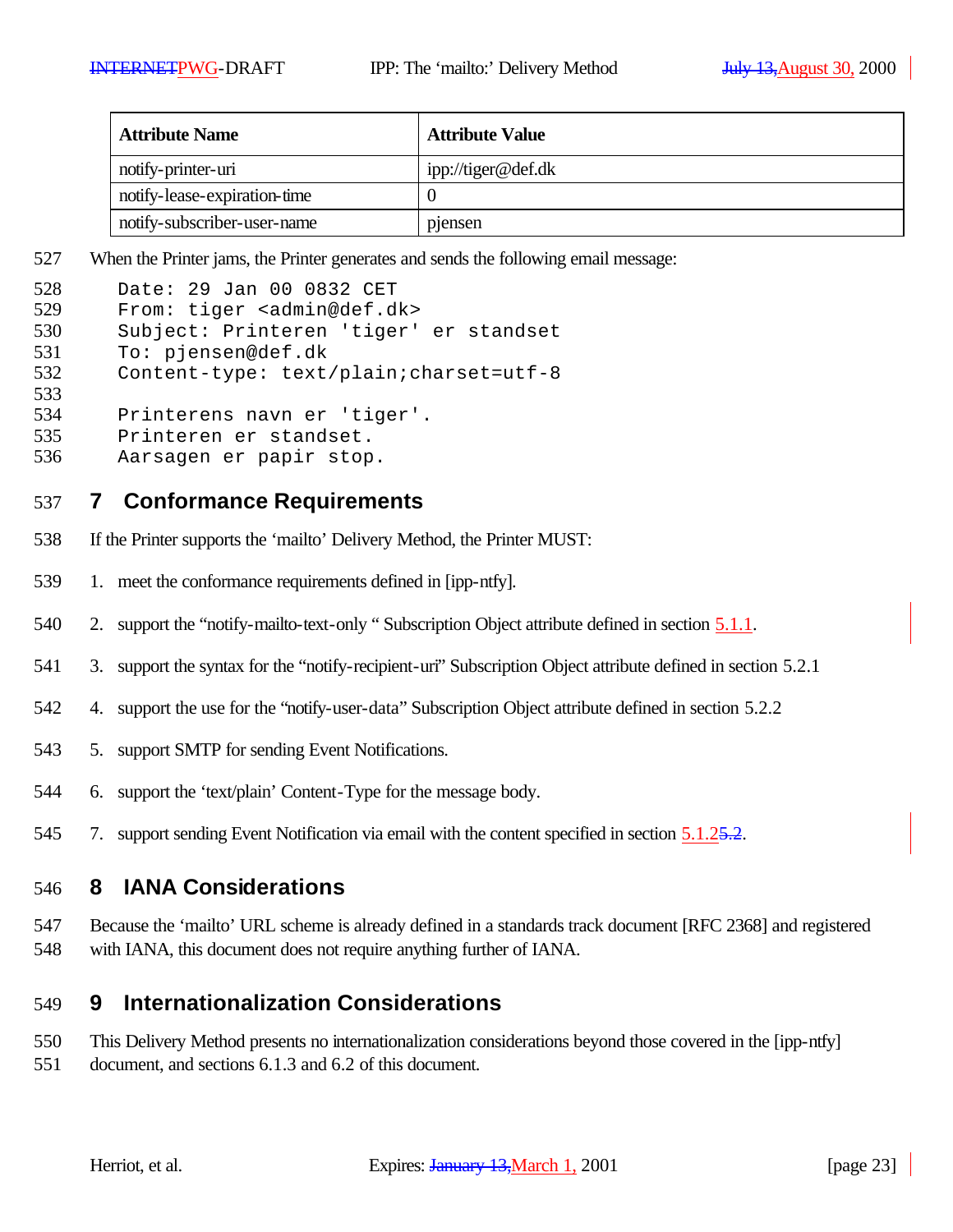| <b>Attribute Name</b>        | <b>Attribute Value</b> |
|------------------------------|------------------------|
| notify-printer-uri           | ipp://tiger@def.dk     |
| notify-lease-expiration-time |                        |
| notify-subscriber-user-name  | pensen                 |

When the Printer jams, the Printer generates and sends the following email message:

| 528 | Date: 29 Jan 00 0832 CET                  |
|-----|-------------------------------------------|
| 529 | From: tiger <admin@def.dk></admin@def.dk> |
| 530 | Subject: Printeren 'tiger' er standset    |
| 531 | To: pjensen@def.dk                        |
| 532 | Content-type: text/plain; charset=utf-8   |
| 533 |                                           |
| 534 | Printerens navn er 'tiger'.               |
| 535 | Printeren er standset.                    |
| 536 | Aarsagen er papir stop.                   |

### **7 Conformance Requirements**

- If the Printer supports the 'mailto' Delivery Method, the Printer MUST:
- 1. meet the conformance requirements defined in [ipp-ntfy].
- 540 2. support the "notify-mailto-text-only " Subscription Object attribute defined in section 5.1.1.
- 3. support the syntax for the "notify-recipient-uri" Subscription Object attribute defined in section 5.2.1
- 4. support the use for the "notify-user-data" Subscription Object attribute defined in section 5.2.2
- 5. support SMTP for sending Event Notifications.
- 6. support the 'text/plain' Content-Type for the message body.
- 545 7. support sending Event Notification via email with the content specified in section 5.1.25.2.

### **8 IANA Considerations**

 Because the 'mailto' URL scheme is already defined in a standards track document [RFC 2368] and registered with IANA, this document does not require anything further of IANA.

## **9 Internationalization Considerations**

- This Delivery Method presents no internationalization considerations beyond those covered in the [ipp-ntfy]
- document, and sections 6.1.3 and 6.2 of this document.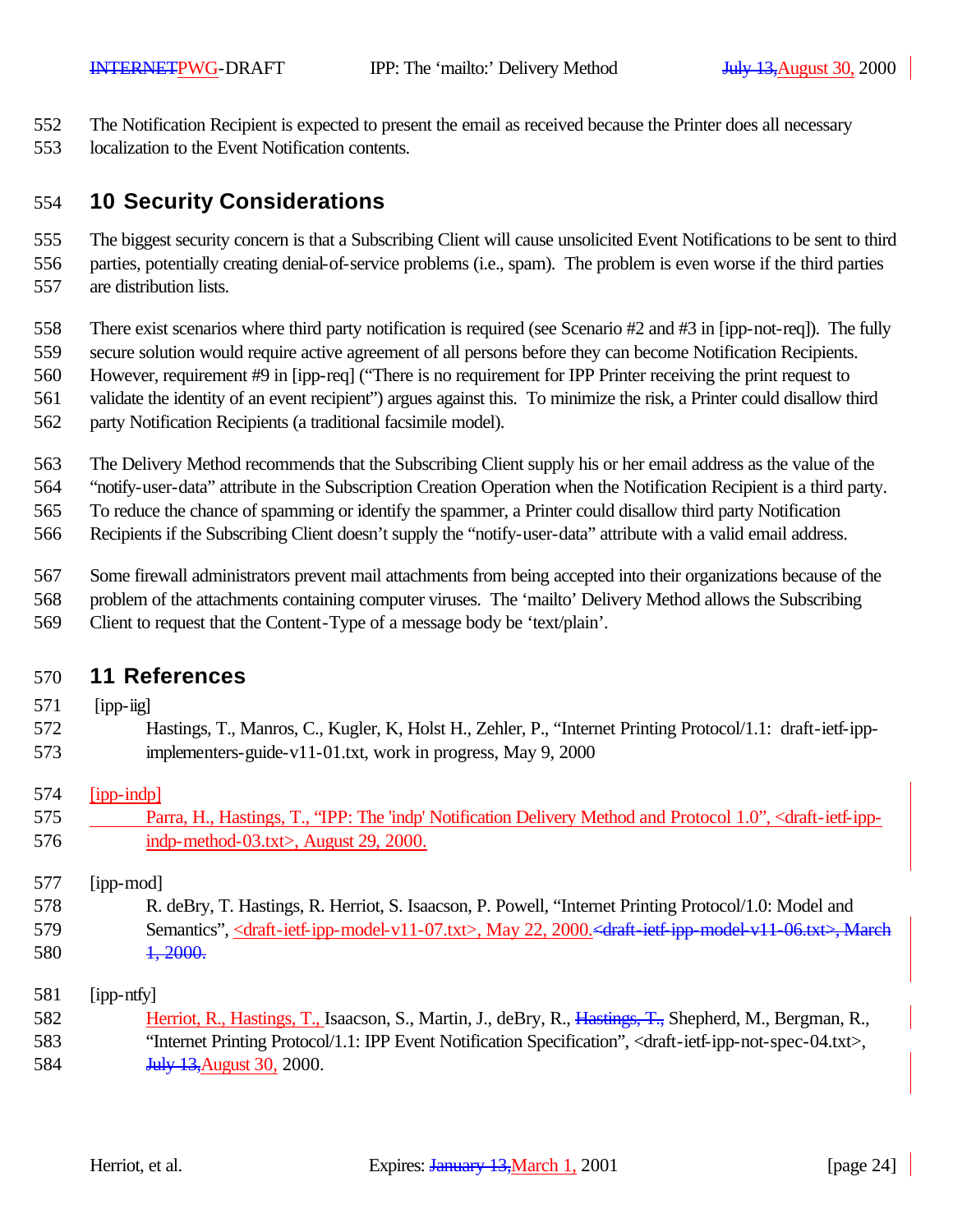The Notification Recipient is expected to present the email as received because the Printer does all necessary

localization to the Event Notification contents.

## **10 Security Considerations**

 The biggest security concern is that a Subscribing Client will cause unsolicited Event Notifications to be sent to third parties, potentially creating denial-of-service problems (i.e., spam). The problem is even worse if the third parties are distribution lists.

There exist scenarios where third party notification is required (see Scenario #2 and #3 in [ipp-not-req]). The fully

secure solution would require active agreement of all persons before they can become Notification Recipients.

However, requirement #9 in [ipp-req] ("There is no requirement for IPP Printer receiving the print request to

- validate the identity of an event recipient") argues against this. To minimize the risk, a Printer could disallow third
- party Notification Recipients (a traditional facsimile model).

The Delivery Method recommends that the Subscribing Client supply his or her email address as the value of the

"notify-user-data" attribute in the Subscription Creation Operation when the Notification Recipient is a third party.

To reduce the chance of spamming or identify the spammer, a Printer could disallow third party Notification

Recipients if the Subscribing Client doesn't supply the "notify-user-data" attribute with a valid email address.

Some firewall administrators prevent mail attachments from being accepted into their organizations because of the

- problem of the attachments containing computer viruses. The 'mailto' Delivery Method allows the Subscribing
- Client to request that the Content-Type of a message body be 'text/plain'.

# **11 References**

- [ipp-iig]
- Hastings, T., Manros, C., Kugler, K, Holst H., Zehler, P., "Internet Printing Protocol/1.1: draft-ietf-ipp-implementers-guide-v11-01.txt, work in progress, May 9, 2000

## [ipp-indp]

 Parra, H., Hastings, T., "IPP: The 'indp' Notification Delivery Method and Protocol 1.0", <draft-ietf-ipp-**indp-method-03.txt>**, August 29, 2000.

[ipp-mod]

 R. deBry, T. Hastings, R. Herriot, S. Isaacson, P. Powell, "Internet Printing Protocol/1.0: Model and 579 Semantics", <draft-ietf-ipp-model-v11-07.txt>, May 22, 2000. <draft-ietf-ipp-model-v11-06.txt>, March 580 1, 2000.

[ipp-ntfy]

582 Herriot, R., Hastings, T., Isaacson, S., Martin, J., deBry, R., Hastings, T., Shepherd, M., Bergman, R., "Internet Printing Protocol/1.1: IPP Event Notification Specification", <draft-ietf-ipp-not-spec-04.txt>, **July 13, August 30, 2000.**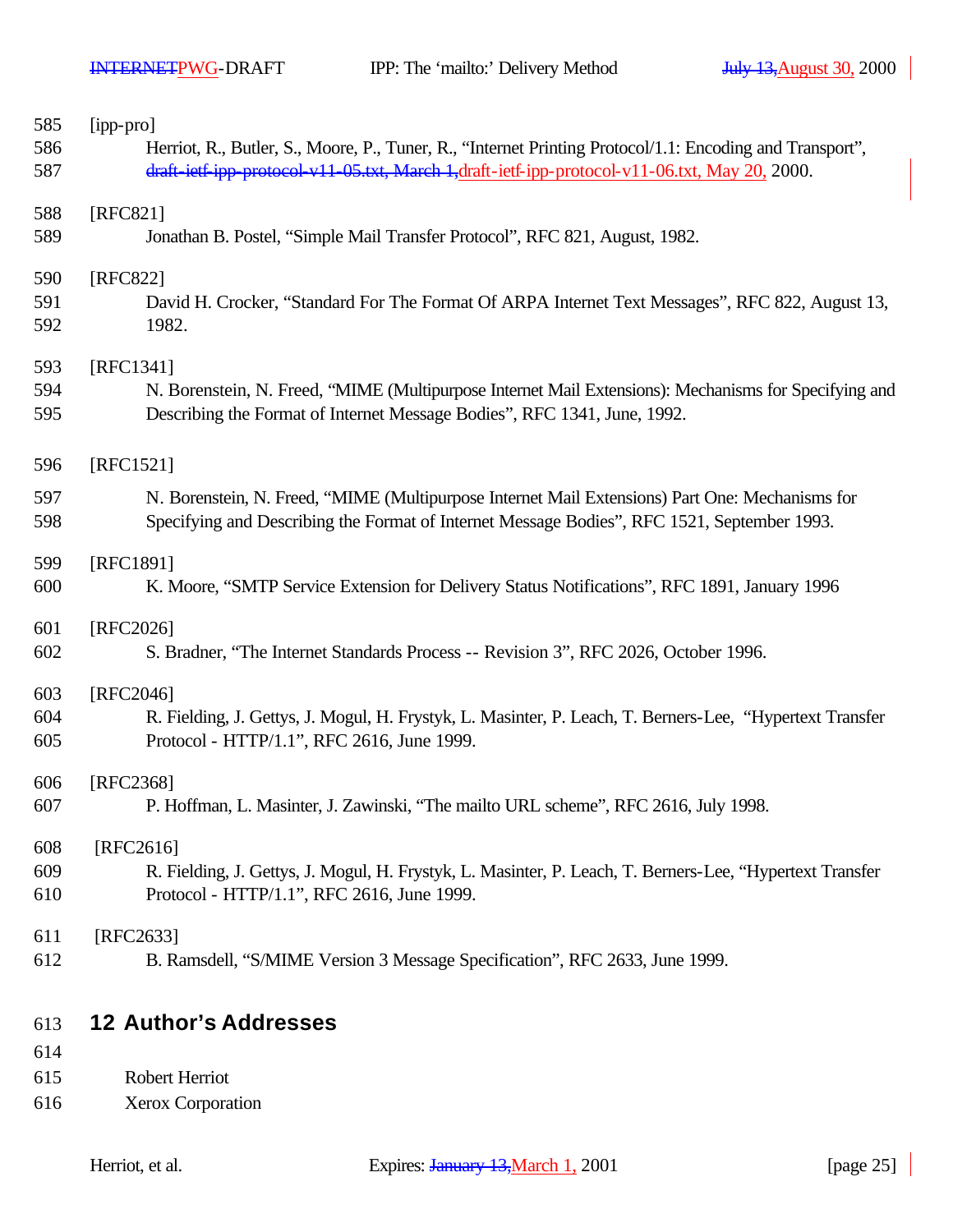| 585        | [ipp-pro]                                                                                                                                                                         |
|------------|-----------------------------------------------------------------------------------------------------------------------------------------------------------------------------------|
| 586        | Herriot, R., Butler, S., Moore, P., Tuner, R., "Internet Printing Protocol/1.1: Encoding and Transport",                                                                          |
| 587        | draft-ietf-ipp-protocol-v11-05.txt, March-1,draft-ietf-ipp-protocol-v11-06.txt, May 20, 2000.                                                                                     |
| 588        | [RFC821]                                                                                                                                                                          |
| 589        | Jonathan B. Postel, "Simple Mail Transfer Protocol", RFC 821, August, 1982.                                                                                                       |
| 590        | [RFC822]                                                                                                                                                                          |
| 591<br>592 | David H. Crocker, "Standard For The Format Of ARPA Internet Text Messages", RFC 822, August 13,<br>1982.                                                                          |
| 593        | [RFC1341]                                                                                                                                                                         |
| 594<br>595 | N. Borenstein, N. Freed, "MIME (Multipurpose Internet Mail Extensions): Mechanisms for Specifying and<br>Describing the Format of Internet Message Bodies", RFC 1341, June, 1992. |
| 596        | [RFC1521]                                                                                                                                                                         |
| 597        | N. Borenstein, N. Freed, "MIME (Multipurpose Internet Mail Extensions) Part One: Mechanisms for                                                                                   |
| 598        | Specifying and Describing the Format of Internet Message Bodies", RFC 1521, September 1993.                                                                                       |
| 599        | [RFC1891]                                                                                                                                                                         |
| 600        | K. Moore, "SMTP Service Extension for Delivery Status Notifications", RFC 1891, January 1996                                                                                      |
| 601        | [RFC2026]                                                                                                                                                                         |
| 602        | S. Bradner, "The Internet Standards Process -- Revision 3", RFC 2026, October 1996.                                                                                               |
| 603        | [RFC2046]                                                                                                                                                                         |
| 604<br>605 | R. Fielding, J. Gettys, J. Mogul, H. Frystyk, L. Masinter, P. Leach, T. Berners-Lee, "Hypertext Transfer<br>Protocol - HTTP/1.1", RFC 2616, June 1999.                            |
| 606        | [RFC2368]                                                                                                                                                                         |
| 607        | P. Hoffman, L. Masinter, J. Zawinski, "The mailto URL scheme", RFC 2616, July 1998.                                                                                               |
| 608        | [RFC2616]                                                                                                                                                                         |
| 609        | R. Fielding, J. Gettys, J. Mogul, H. Frystyk, L. Masinter, P. Leach, T. Berners-Lee, "Hypertext Transfer                                                                          |
| 610        | Protocol - HTTP/1.1", RFC 2616, June 1999.                                                                                                                                        |
| 611        | [RFC2633]                                                                                                                                                                         |
| 612        | B. Ramsdell, "S/MIME Version 3 Message Specification", RFC 2633, June 1999.                                                                                                       |
| 613        | <b>12 Author's Addresses</b>                                                                                                                                                      |
| 614        |                                                                                                                                                                                   |
|            |                                                                                                                                                                                   |

- Robert Herriot
- Xerox Corporation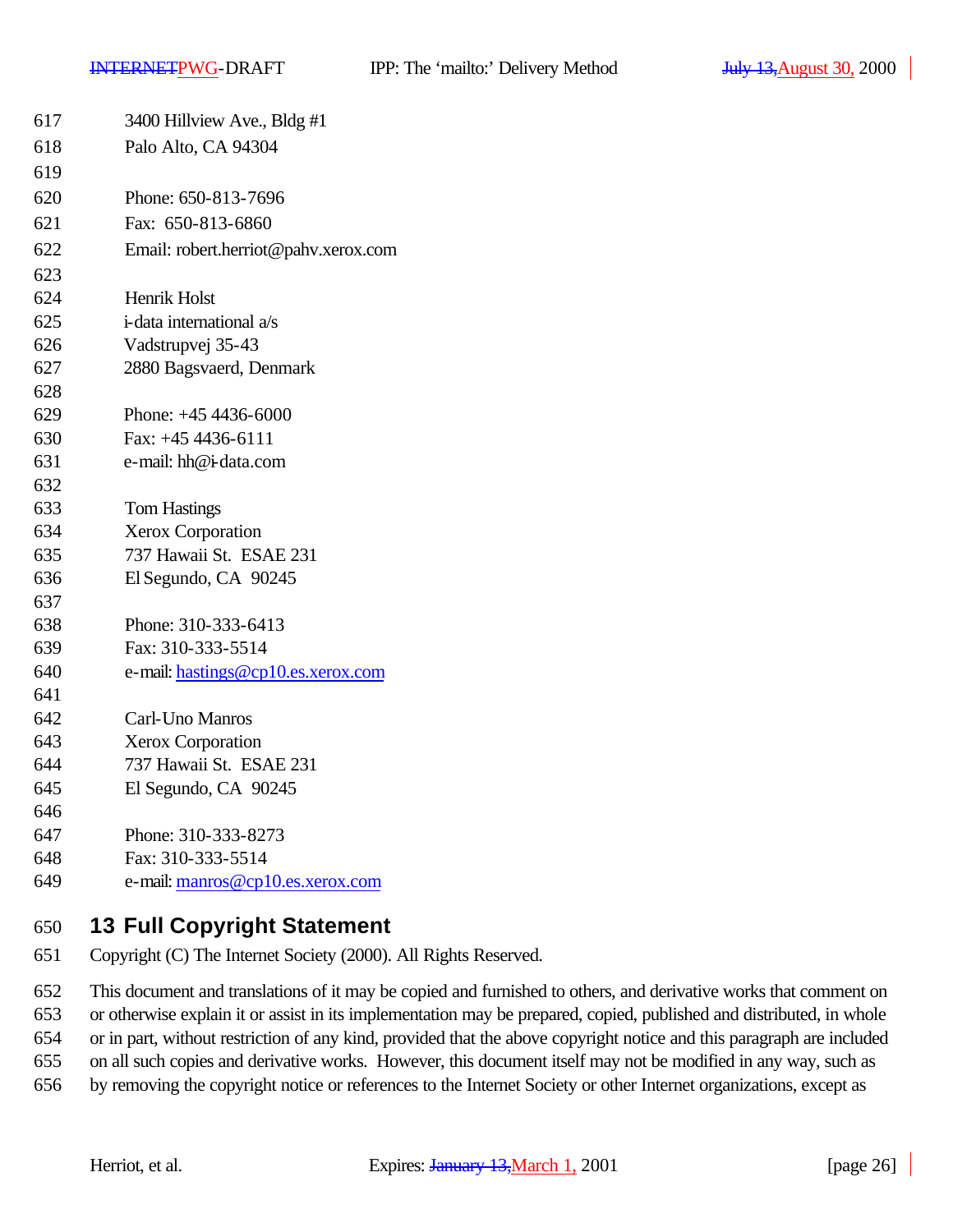| 617      | 3400 Hillview Ave., Bldg #1                                                        |
|----------|------------------------------------------------------------------------------------|
| 618      | Palo Alto, CA 94304                                                                |
| 619      |                                                                                    |
| 620      | Phone: 650-813-7696                                                                |
| 621      | Fax: 650-813-6860                                                                  |
| 622      | Email: robert.herriot@pahv.xerox.com                                               |
| 623      |                                                                                    |
| 624      | Henrik Holst                                                                       |
| 625      | i-data international a/s                                                           |
| 626      | Vadstrupvej 35-43                                                                  |
| 627      | 2880 Bagsvaerd, Denmark                                                            |
| 628      |                                                                                    |
| 629      | Phone: $+454436-6000$                                                              |
| 630      | Fax: +45 4436-6111                                                                 |
| 631      | e-mail: hh@i-data.com                                                              |
| 632      |                                                                                    |
| 633      | <b>Tom Hastings</b>                                                                |
| 634      | Xerox Corporation                                                                  |
| 635      | 737 Hawaii St. ESAE 231                                                            |
| 636      | El Segundo, CA 90245                                                               |
| 637      |                                                                                    |
| 638      | Phone: 310-333-6413                                                                |
| 639      | Fax: 310-333-5514                                                                  |
| 640      | e-mail: hastings@cp10.es.xerox.com                                                 |
| 641      |                                                                                    |
| 642      | Carl-Uno Manros                                                                    |
| 643      | <b>Xerox Corporation</b>                                                           |
| 644      | 737 Hawaii St. ESAE 231                                                            |
| 645      | El Segundo, CA 90245                                                               |
| 646      |                                                                                    |
| 647      | Phone: 310-333-8273                                                                |
| 648      | Fax: 310-333-5514                                                                  |
| 649      | e-mail: manros@cp10.es.xerox.com                                                   |
| $  \sim$ | $\lambda$ $\lambda$ $\lambda$ $\lambda$ $\lambda$ $\lambda$<br>يمنه عمامات استحداث |

# **13 Full Copyright Statement**

Copyright (C) The Internet Society (2000). All Rights Reserved.

This document and translations of it may be copied and furnished to others, and derivative works that comment on

or otherwise explain it or assist in its implementation may be prepared, copied, published and distributed, in whole

or in part, without restriction of any kind, provided that the above copyright notice and this paragraph are included

on all such copies and derivative works. However, this document itself may not be modified in any way, such as

by removing the copyright notice or references to the Internet Society or other Internet organizations, except as